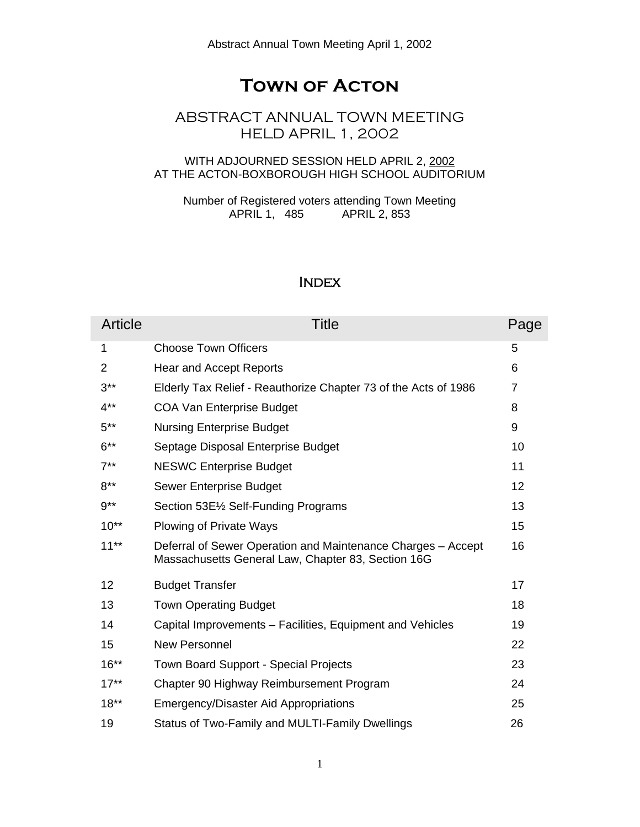# **Town of Acton**

# ABSTRACT ANNUAL TOWN MEETING HELD APRIL 1, 2002

# WITH ADJOURNED SESSION HELD APRIL 2, 2002 AT THE ACTON-BOXBOROUGH HIGH SCHOOL AUDITORIUM

Number of Registered voters attending Town Meeting APRIL 1, 485 APRIL 2, 853

# **INDEX**

| Article        | <b>Title</b>                                                                                                       | Page |
|----------------|--------------------------------------------------------------------------------------------------------------------|------|
| $\mathbf 1$    | <b>Choose Town Officers</b>                                                                                        | 5    |
| $\overline{2}$ | <b>Hear and Accept Reports</b>                                                                                     | 6    |
| $3***$         | Elderly Tax Relief - Reauthorize Chapter 73 of the Acts of 1986                                                    | 7    |
| $4**$          | <b>COA Van Enterprise Budget</b>                                                                                   | 8    |
| $5***$         | <b>Nursing Enterprise Budget</b>                                                                                   | 9    |
| $6***$         | Septage Disposal Enterprise Budget                                                                                 | 10   |
| $7^{**}$       | <b>NESWC Enterprise Budget</b>                                                                                     | 11   |
| $8***$         | Sewer Enterprise Budget                                                                                            | 12   |
| $9***$         | Section 53E1/2 Self-Funding Programs                                                                               | 13   |
| $10**$         | <b>Plowing of Private Ways</b>                                                                                     | 15   |
| $11**$         | Deferral of Sewer Operation and Maintenance Charges - Accept<br>Massachusetts General Law, Chapter 83, Section 16G | 16   |
| 12             | <b>Budget Transfer</b>                                                                                             | 17   |
| 13             | <b>Town Operating Budget</b>                                                                                       | 18   |
| 14             | Capital Improvements - Facilities, Equipment and Vehicles                                                          | 19   |
| 15             | <b>New Personnel</b>                                                                                               | 22   |
| $16**$         | Town Board Support - Special Projects                                                                              | 23   |
| $17**$         | Chapter 90 Highway Reimbursement Program                                                                           | 24   |
| $18**$         | <b>Emergency/Disaster Aid Appropriations</b>                                                                       | 25   |
| 19             | Status of Two-Family and MULTI-Family Dwellings                                                                    | 26   |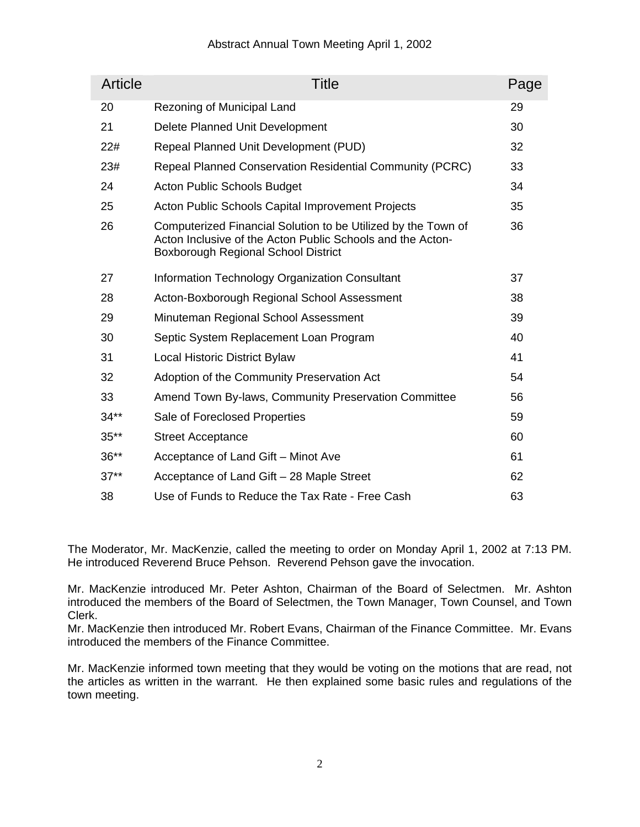| <b>Article</b> | <b>Title</b>                                                                                                                                                              | Page |
|----------------|---------------------------------------------------------------------------------------------------------------------------------------------------------------------------|------|
| 20             | Rezoning of Municipal Land                                                                                                                                                | 29   |
| 21             | Delete Planned Unit Development                                                                                                                                           | 30   |
| 22#            | Repeal Planned Unit Development (PUD)                                                                                                                                     | 32   |
| 23#            | Repeal Planned Conservation Residential Community (PCRC)                                                                                                                  | 33   |
| 24             | <b>Acton Public Schools Budget</b>                                                                                                                                        | 34   |
| 25             | <b>Acton Public Schools Capital Improvement Projects</b>                                                                                                                  | 35   |
| 26             | Computerized Financial Solution to be Utilized by the Town of<br>Acton Inclusive of the Acton Public Schools and the Acton-<br><b>Boxborough Regional School District</b> | 36   |
| 27             | Information Technology Organization Consultant                                                                                                                            | 37   |
| 28             | Acton-Boxborough Regional School Assessment                                                                                                                               | 38   |
| 29             | Minuteman Regional School Assessment                                                                                                                                      | 39   |
| 30             | Septic System Replacement Loan Program                                                                                                                                    | 40   |
| 31             | <b>Local Historic District Bylaw</b>                                                                                                                                      | 41   |
| 32             | Adoption of the Community Preservation Act                                                                                                                                | 54   |
| 33             | Amend Town By-laws, Community Preservation Committee                                                                                                                      | 56   |
| $34**$         | Sale of Foreclosed Properties                                                                                                                                             | 59   |
| $35**$         | <b>Street Acceptance</b>                                                                                                                                                  | 60   |
| $36**$         | Acceptance of Land Gift - Minot Ave                                                                                                                                       | 61   |
| $37**$         | Acceptance of Land Gift - 28 Maple Street                                                                                                                                 | 62   |
| 38             | Use of Funds to Reduce the Tax Rate - Free Cash                                                                                                                           | 63   |

The Moderator, Mr. MacKenzie, called the meeting to order on Monday April 1, 2002 at 7:13 PM. He introduced Reverend Bruce Pehson. Reverend Pehson gave the invocation.

Mr. MacKenzie introduced Mr. Peter Ashton, Chairman of the Board of Selectmen. Mr. Ashton introduced the members of the Board of Selectmen, the Town Manager, Town Counsel, and Town Clerk.

Mr. MacKenzie then introduced Mr. Robert Evans, Chairman of the Finance Committee. Mr. Evans introduced the members of the Finance Committee.

Mr. MacKenzie informed town meeting that they would be voting on the motions that are read, not the articles as written in the warrant. He then explained some basic rules and regulations of the town meeting.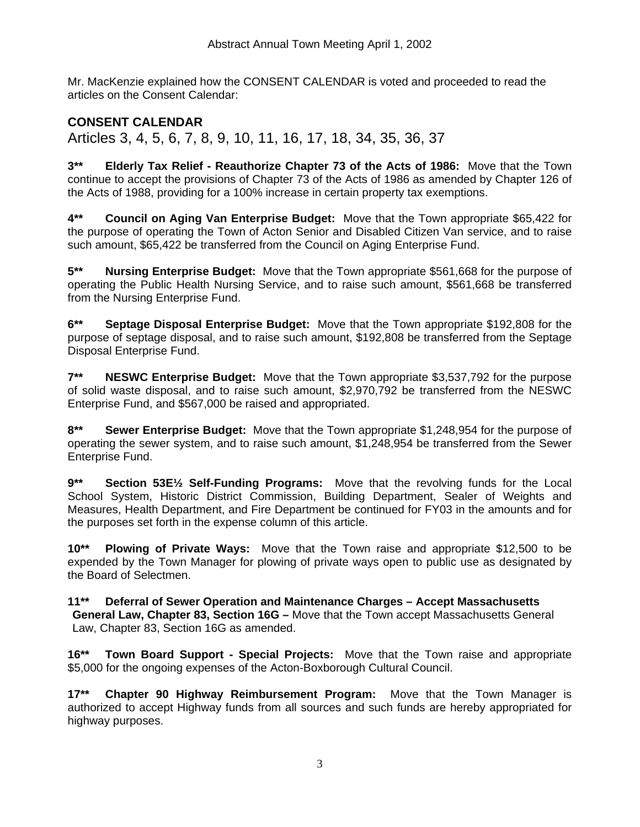Mr. MacKenzie explained how the CONSENT CALENDAR is voted and proceeded to read the articles on the Consent Calendar:

# **CONSENT CALENDAR**

Articles 3, 4, 5, 6, 7, 8, 9, 10, 11, 16, 17, 18, 34, 35, 36, 37

**3\*\* Elderly Tax Relief - Reauthorize Chapter 73 of the Acts of 1986:** Move that the Town continue to accept the provisions of Chapter 73 of the Acts of 1986 as amended by Chapter 126 of the Acts of 1988, providing for a 100% increase in certain property tax exemptions.

**4\*\* Council on Aging Van Enterprise Budget:** Move that the Town appropriate \$65,422 for the purpose of operating the Town of Acton Senior and Disabled Citizen Van service, and to raise such amount, \$65,422 be transferred from the Council on Aging Enterprise Fund.

**5\*\* Nursing Enterprise Budget:** Move that the Town appropriate \$561,668 for the purpose of operating the Public Health Nursing Service, and to raise such amount, \$561,668 be transferred from the Nursing Enterprise Fund.

**6\*\* Septage Disposal Enterprise Budget:** Move that the Town appropriate \$192,808 for the purpose of septage disposal, and to raise such amount, \$192,808 be transferred from the Septage Disposal Enterprise Fund.

**7\*\* NESWC Enterprise Budget:** Move that the Town appropriate \$3,537,792 for the purpose of solid waste disposal, and to raise such amount, \$2,970,792 be transferred from the NESWC Enterprise Fund, and \$567,000 be raised and appropriated.

**8\*\* Sewer Enterprise Budget:** Move that the Town appropriate \$1,248,954 for the purpose of operating the sewer system, and to raise such amount, \$1,248,954 be transferred from the Sewer Enterprise Fund.

**9\*\* Section 53E½ Self-Funding Programs:** Move that the revolving funds for the Local School System, Historic District Commission, Building Department, Sealer of Weights and Measures, Health Department, and Fire Department be continued for FY03 in the amounts and for the purposes set forth in the expense column of this article.

**10\*\* Plowing of Private Ways:** Move that the Town raise and appropriate \$12,500 to be expended by the Town Manager for plowing of private ways open to public use as designated by the Board of Selectmen.

**11\*\* Deferral of Sewer Operation and Maintenance Charges – Accept Massachusetts General Law, Chapter 83, Section 16G –** Move that the Town accept Massachusetts General Law, Chapter 83, Section 16G as amended.

**16\*\* Town Board Support - Special Projects:** Move that the Town raise and appropriate \$5,000 for the ongoing expenses of the Acton-Boxborough Cultural Council.

**17\*\* Chapter 90 Highway Reimbursement Program:** Move that the Town Manager is authorized to accept Highway funds from all sources and such funds are hereby appropriated for highway purposes.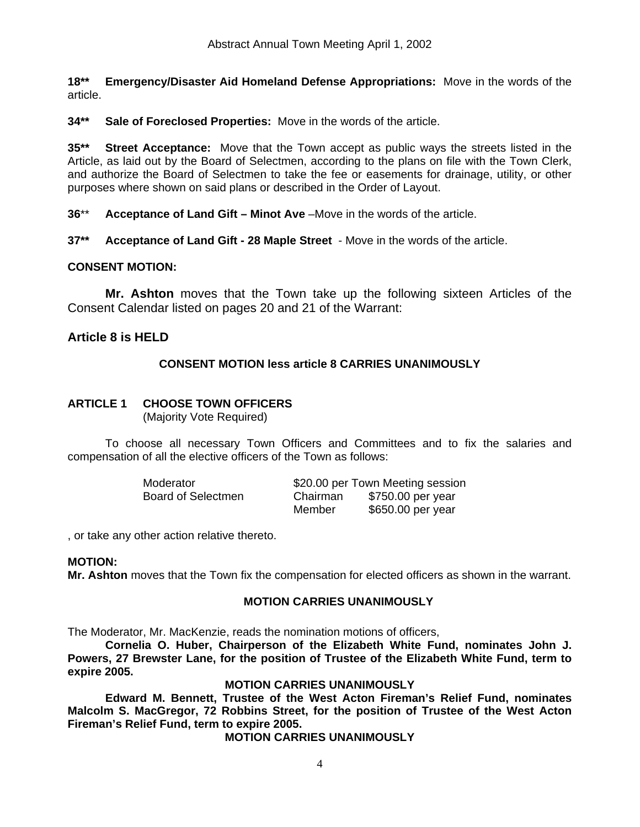**18\*\* Emergency/Disaster Aid Homeland Defense Appropriations:** Move in the words of the article.

**34\*\* Sale of Foreclosed Properties:** Move in the words of the article.

**35\*\* Street Acceptance:** Move that the Town accept as public ways the streets listed in the Article, as laid out by the Board of Selectmen, according to the plans on file with the Town Clerk, and authorize the Board of Selectmen to take the fee or easements for drainage, utility, or other purposes where shown on said plans or described in the Order of Layout.

**36**\*\* **Acceptance of Land Gift – Minot Ave** –Move in the words of the article.

**37\*\* Acceptance of Land Gift - 28 Maple Street** - Move in the words of the article.

# **CONSENT MOTION:**

**Mr. Ashton** moves that the Town take up the following sixteen Articles of the Consent Calendar listed on pages 20 and 21 of the Warrant:

# **Article 8 is HELD**

# **CONSENT MOTION less article 8 CARRIES UNANIMOUSLY**

# **ARTICLE 1 CHOOSE TOWN OFFICERS**

(Majority Vote Required)

To choose all necessary Town Officers and Committees and to fix the salaries and compensation of all the elective officers of the Town as follows:

| Moderator          |          | \$20.00 per Town Meeting session |
|--------------------|----------|----------------------------------|
| Board of Selectmen | Chairman | \$750.00 per year                |
|                    | Member   | \$650.00 per year                |

, or take any other action relative thereto.

# **MOTION:**

**Mr. Ashton** moves that the Town fix the compensation for elected officers as shown in the warrant.

# **MOTION CARRIES UNANIMOUSLY**

The Moderator, Mr. MacKenzie, reads the nomination motions of officers,

**Cornelia O. Huber, Chairperson of the Elizabeth White Fund, nominates John J. Powers, 27 Brewster Lane, for the position of Trustee of the Elizabeth White Fund, term to expire 2005.** 

# **MOTION CARRIES UNANIMOUSLY**

**Edward M. Bennett, Trustee of the West Acton Fireman's Relief Fund, nominates Malcolm S. MacGregor, 72 Robbins Street, for the position of Trustee of the West Acton Fireman's Relief Fund, term to expire 2005.** 

**MOTION CARRIES UNANIMOUSLY**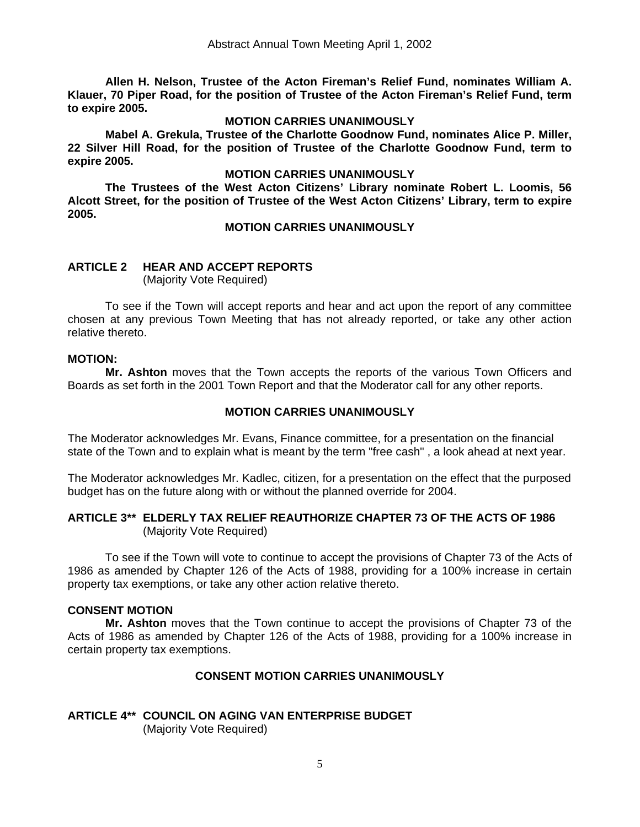**Allen H. Nelson, Trustee of the Acton Fireman's Relief Fund, nominates William A. Klauer, 70 Piper Road, for the position of Trustee of the Acton Fireman's Relief Fund, term to expire 2005.** 

#### **MOTION CARRIES UNANIMOUSLY**

**Mabel A. Grekula, Trustee of the Charlotte Goodnow Fund, nominates Alice P. Miller, 22 Silver Hill Road, for the position of Trustee of the Charlotte Goodnow Fund, term to expire 2005.** 

### **MOTION CARRIES UNANIMOUSLY**

**The Trustees of the West Acton Citizens' Library nominate Robert L. Loomis, 56 Alcott Street, for the position of Trustee of the West Acton Citizens' Library, term to expire 2005.** 

#### **MOTION CARRIES UNANIMOUSLY**

### **ARTICLE 2 HEAR AND ACCEPT REPORTS**  (Majority Vote Required)

 To see if the Town will accept reports and hear and act upon the report of any committee chosen at any previous Town Meeting that has not already reported, or take any other action relative thereto.

### **MOTION:**

**Mr. Ashton** moves that the Town accepts the reports of the various Town Officers and Boards as set forth in the 2001 Town Report and that the Moderator call for any other reports.

### **MOTION CARRIES UNANIMOUSLY**

The Moderator acknowledges Mr. Evans, Finance committee, for a presentation on the financial state of the Town and to explain what is meant by the term "free cash" , a look ahead at next year.

The Moderator acknowledges Mr. Kadlec, citizen, for a presentation on the effect that the purposed budget has on the future along with or without the planned override for 2004.

# **ARTICLE 3\*\* ELDERLY TAX RELIEF REAUTHORIZE CHAPTER 73 OF THE ACTS OF 1986**  (Majority Vote Required)

 To see if the Town will vote to continue to accept the provisions of Chapter 73 of the Acts of 1986 as amended by Chapter 126 of the Acts of 1988, providing for a 100% increase in certain property tax exemptions, or take any other action relative thereto.

### **CONSENT MOTION**

**Mr. Ashton** moves that the Town continue to accept the provisions of Chapter 73 of the Acts of 1986 as amended by Chapter 126 of the Acts of 1988, providing for a 100% increase in certain property tax exemptions.

### **CONSENT MOTION CARRIES UNANIMOUSLY**

#### **ARTICLE 4\*\* COUNCIL ON AGING VAN ENTERPRISE BUDGET** (Majority Vote Required)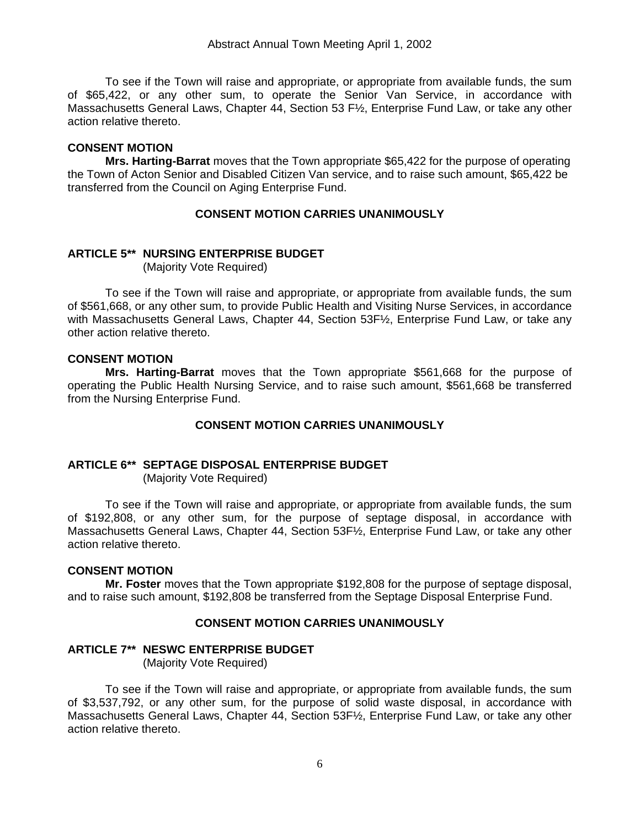To see if the Town will raise and appropriate, or appropriate from available funds, the sum of \$65,422, or any other sum, to operate the Senior Van Service, in accordance with Massachusetts General Laws, Chapter 44, Section 53 F½, Enterprise Fund Law, or take any other action relative thereto.

### **CONSENT MOTION**

**Mrs. Harting-Barrat** moves that the Town appropriate \$65,422 for the purpose of operating the Town of Acton Senior and Disabled Citizen Van service, and to raise such amount, \$65,422 be transferred from the Council on Aging Enterprise Fund.

# **CONSENT MOTION CARRIES UNANIMOUSLY**

# **ARTICLE 5\*\* NURSING ENTERPRISE BUDGET**

(Majority Vote Required)

 To see if the Town will raise and appropriate, or appropriate from available funds, the sum of \$561,668, or any other sum, to provide Public Health and Visiting Nurse Services, in accordance with Massachusetts General Laws, Chapter 44, Section 53F½, Enterprise Fund Law, or take any other action relative thereto.

### **CONSENT MOTION**

**Mrs. Harting-Barrat** moves that the Town appropriate \$561,668 for the purpose of operating the Public Health Nursing Service, and to raise such amount, \$561,668 be transferred from the Nursing Enterprise Fund.

# **CONSENT MOTION CARRIES UNANIMOUSLY**

# **ARTICLE 6\*\* SEPTAGE DISPOSAL ENTERPRISE BUDGET**

(Majority Vote Required)

 To see if the Town will raise and appropriate, or appropriate from available funds, the sum of \$192,808, or any other sum, for the purpose of septage disposal, in accordance with Massachusetts General Laws, Chapter 44, Section 53F½, Enterprise Fund Law, or take any other action relative thereto.

### **CONSENT MOTION**

**Mr. Foster** moves that the Town appropriate \$192,808 for the purpose of septage disposal, and to raise such amount, \$192,808 be transferred from the Septage Disposal Enterprise Fund.

# **CONSENT MOTION CARRIES UNANIMOUSLY**

# **ARTICLE 7\*\* NESWC ENTERPRISE BUDGET**

(Majority Vote Required)

 To see if the Town will raise and appropriate, or appropriate from available funds, the sum of \$3,537,792, or any other sum, for the purpose of solid waste disposal, in accordance with Massachusetts General Laws, Chapter 44, Section 53F½, Enterprise Fund Law, or take any other action relative thereto.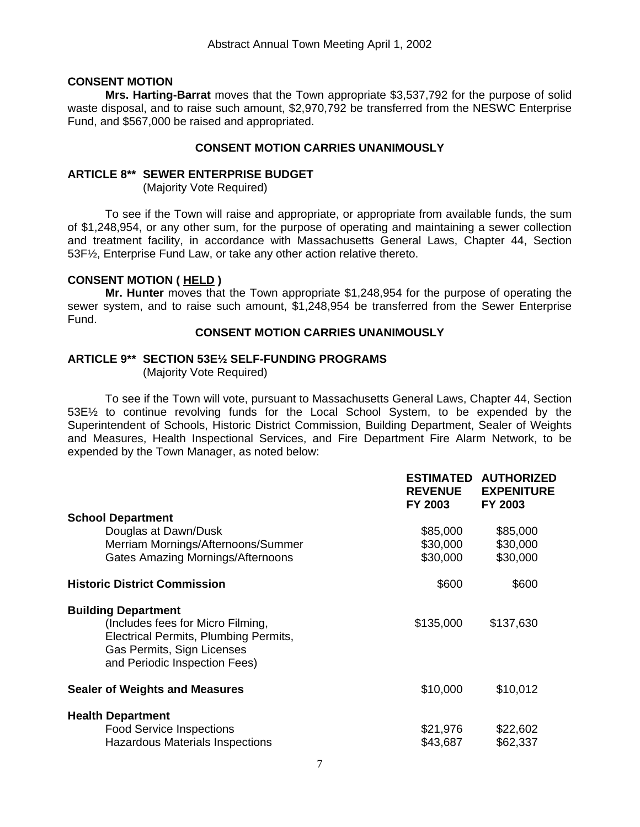# **CONSENT MOTION**

**Mrs. Harting-Barrat** moves that the Town appropriate \$3,537,792 for the purpose of solid waste disposal, and to raise such amount, \$2,970,792 be transferred from the NESWC Enterprise Fund, and \$567,000 be raised and appropriated.

# **CONSENT MOTION CARRIES UNANIMOUSLY**

### **ARTICLE 8\*\* SEWER ENTERPRISE BUDGET**

(Majority Vote Required)

To see if the Town will raise and appropriate, or appropriate from available funds, the sum of \$1,248,954, or any other sum, for the purpose of operating and maintaining a sewer collection and treatment facility, in accordance with Massachusetts General Laws, Chapter 44, Section 53F½, Enterprise Fund Law, or take any other action relative thereto.

### **CONSENT MOTION ( HELD )**

**Mr. Hunter** moves that the Town appropriate \$1,248,954 for the purpose of operating the sewer system, and to raise such amount, \$1,248,954 be transferred from the Sewer Enterprise Fund.

### **CONSENT MOTION CARRIES UNANIMOUSLY**

### **ARTICLE 9\*\* SECTION 53E½ SELF-FUNDING PROGRAMS**

(Majority Vote Required)

To see if the Town will vote, pursuant to Massachusetts General Laws, Chapter 44, Section 53E½ to continue revolving funds for the Local School System, to be expended by the Superintendent of Schools, Historic District Commission, Building Department, Sealer of Weights and Measures, Health Inspectional Services, and Fire Department Fire Alarm Network, to be expended by the Town Manager, as noted below:

|                                                                                                                                           | <b>ESTIMATED</b><br><b>REVENUE</b><br>FY 2003 | <b>AUTHORIZED</b><br><b>EXPENITURE</b><br>FY 2003 |
|-------------------------------------------------------------------------------------------------------------------------------------------|-----------------------------------------------|---------------------------------------------------|
| <b>School Department</b>                                                                                                                  |                                               |                                                   |
| Douglas at Dawn/Dusk                                                                                                                      | \$85,000                                      | \$85,000                                          |
| Merriam Mornings/Afternoons/Summer                                                                                                        | \$30,000                                      | \$30,000                                          |
| <b>Gates Amazing Mornings/Afternoons</b>                                                                                                  | \$30,000                                      | \$30,000                                          |
| <b>Historic District Commission</b>                                                                                                       | \$600                                         | \$600                                             |
| <b>Building Department</b>                                                                                                                |                                               |                                                   |
| (Includes fees for Micro Filming,<br>Electrical Permits, Plumbing Permits,<br>Gas Permits, Sign Licenses<br>and Periodic Inspection Fees) | \$135,000                                     | \$137,630                                         |
| <b>Sealer of Weights and Measures</b>                                                                                                     | \$10,000                                      | \$10,012                                          |
| <b>Health Department</b>                                                                                                                  |                                               |                                                   |
| <b>Food Service Inspections</b>                                                                                                           | \$21,976                                      | \$22,602                                          |
| <b>Hazardous Materials Inspections</b>                                                                                                    | \$43,687                                      | \$62,337                                          |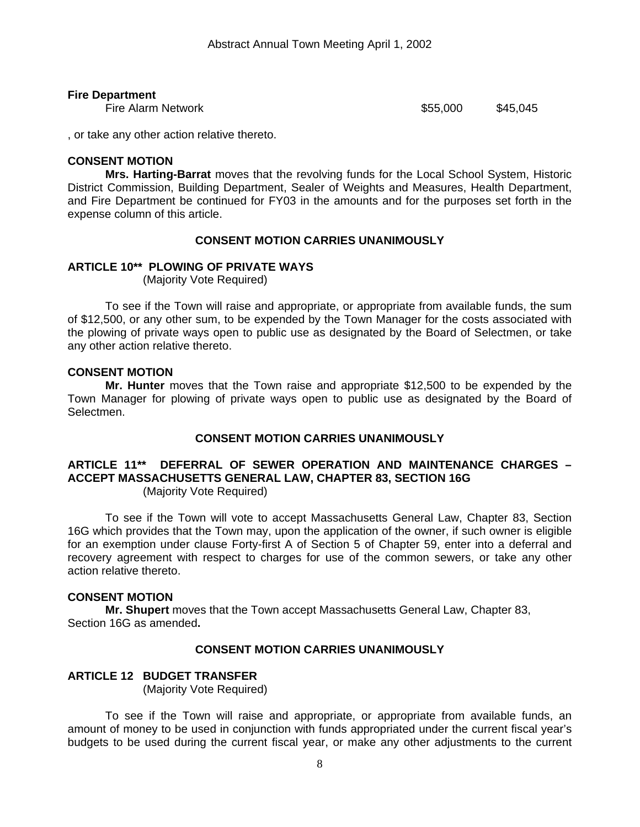# **Fire Department**

Fire Alarm Network \$55,000 \$45,045

, or take any other action relative thereto.

# **CONSENT MOTION**

**Mrs. Harting-Barrat** moves that the revolving funds for the Local School System, Historic District Commission, Building Department, Sealer of Weights and Measures, Health Department, and Fire Department be continued for FY03 in the amounts and for the purposes set forth in the expense column of this article.

# **CONSENT MOTION CARRIES UNANIMOUSLY**

### **ARTICLE 10\*\* PLOWING OF PRIVATE WAYS** (Majority Vote Required)

 To see if the Town will raise and appropriate, or appropriate from available funds, the sum of \$12,500, or any other sum, to be expended by the Town Manager for the costs associated with the plowing of private ways open to public use as designated by the Board of Selectmen, or take any other action relative thereto.

### **CONSENT MOTION**

**Mr. Hunter** moves that the Town raise and appropriate \$12,500 to be expended by the Town Manager for plowing of private ways open to public use as designated by the Board of Selectmen.

# **CONSENT MOTION CARRIES UNANIMOUSLY**

### **ARTICLE 11\*\* DEFERRAL OF SEWER OPERATION AND MAINTENANCE CHARGES – ACCEPT MASSACHUSETTS GENERAL LAW, CHAPTER 83, SECTION 16G**  (Majority Vote Required)

 To see if the Town will vote to accept Massachusetts General Law, Chapter 83, Section 16G which provides that the Town may, upon the application of the owner, if such owner is eligible for an exemption under clause Forty-first A of Section 5 of Chapter 59, enter into a deferral and recovery agreement with respect to charges for use of the common sewers, or take any other action relative thereto.

### **CONSENT MOTION**

**Mr. Shupert** moves that the Town accept Massachusetts General Law, Chapter 83, Section 16G as amended**.** 

# **CONSENT MOTION CARRIES UNANIMOUSLY**

# **ARTICLE 12 BUDGET TRANSFER**

(Majority Vote Required)

 To see if the Town will raise and appropriate, or appropriate from available funds, an amount of money to be used in conjunction with funds appropriated under the current fiscal year's budgets to be used during the current fiscal year, or make any other adjustments to the current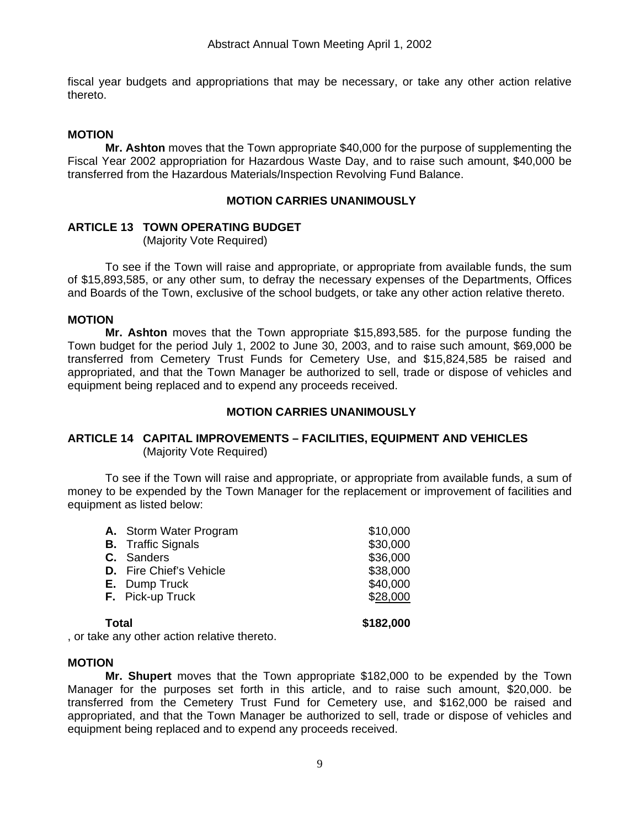fiscal year budgets and appropriations that may be necessary, or take any other action relative thereto.

# **MOTION**

**Mr. Ashton** moves that the Town appropriate \$40,000 for the purpose of supplementing the Fiscal Year 2002 appropriation for Hazardous Waste Day, and to raise such amount, \$40,000 be transferred from the Hazardous Materials/Inspection Revolving Fund Balance.

# **MOTION CARRIES UNANIMOUSLY**

# **ARTICLE 13 TOWN OPERATING BUDGET**

(Majority Vote Required)

 To see if the Town will raise and appropriate, or appropriate from available funds, the sum of \$15,893,585, or any other sum, to defray the necessary expenses of the Departments, Offices and Boards of the Town, exclusive of the school budgets, or take any other action relative thereto.

# **MOTION**

**Mr. Ashton** moves that the Town appropriate \$15,893,585. for the purpose funding the Town budget for the period July 1, 2002 to June 30, 2003, and to raise such amount, \$69,000 be transferred from Cemetery Trust Funds for Cemetery Use, and \$15,824,585 be raised and appropriated, and that the Town Manager be authorized to sell, trade or dispose of vehicles and equipment being replaced and to expend any proceeds received.

### **MOTION CARRIES UNANIMOUSLY**

### **ARTICLE 14 CAPITAL IMPROVEMENTS – FACILITIES, EQUIPMENT AND VEHICLES**  (Majority Vote Required)

 To see if the Town will raise and appropriate, or appropriate from available funds, a sum of money to be expended by the Town Manager for the replacement or improvement of facilities and equipment as listed below:

| Total |                                | \$182,000 |
|-------|--------------------------------|-----------|
|       | F. Pick-up Truck               | \$28,000  |
|       | <b>E.</b> Dump Truck           | \$40,000  |
|       | <b>D.</b> Fire Chief's Vehicle | \$38,000  |
|       | C. Sanders                     | \$36,000  |
|       | <b>B.</b> Traffic Signals      | \$30,000  |
|       | A. Storm Water Program         | \$10,000  |

, or take any other action relative thereto.

# **MOTION**

**Mr. Shupert** moves that the Town appropriate \$182,000 to be expended by the Town Manager for the purposes set forth in this article, and to raise such amount, \$20,000. be transferred from the Cemetery Trust Fund for Cemetery use, and \$162,000 be raised and appropriated, and that the Town Manager be authorized to sell, trade or dispose of vehicles and equipment being replaced and to expend any proceeds received.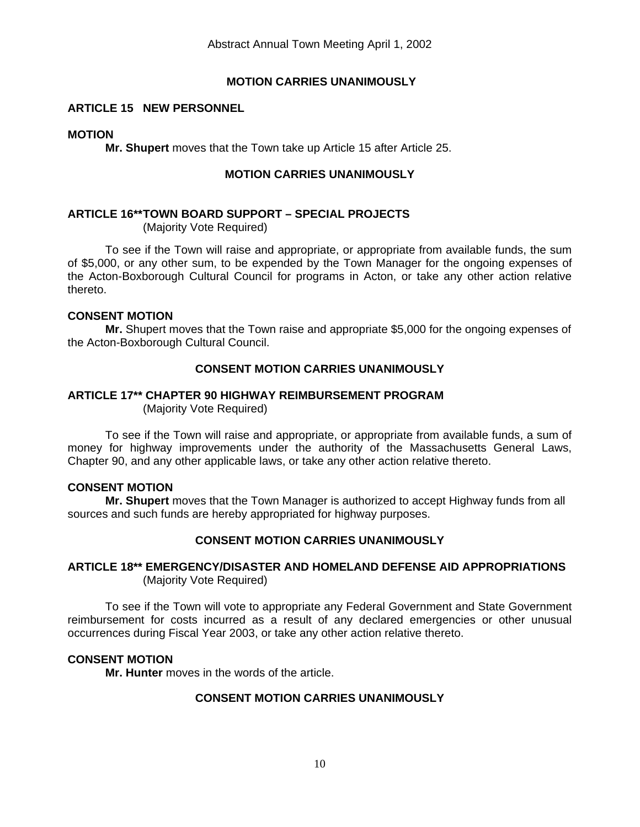# **MOTION CARRIES UNANIMOUSLY**

# **ARTICLE 15 NEW PERSONNEL**

### **MOTION**

**Mr. Shupert** moves that the Town take up Article 15 after Article 25.

# **MOTION CARRIES UNANIMOUSLY**

# **ARTICLE 16\*\* TOWN BOARD SUPPORT – SPECIAL PROJECTS**

(Majority Vote Required)

 To see if the Town will raise and appropriate, or appropriate from available funds, the sum of \$5,000, or any other sum, to be expended by the Town Manager for the ongoing expenses of the Acton-Boxborough Cultural Council for programs in Acton, or take any other action relative thereto.

### **CONSENT MOTION**

**Mr.** Shupert moves that the Town raise and appropriate \$5,000 for the ongoing expenses of the Acton-Boxborough Cultural Council.

# **CONSENT MOTION CARRIES UNANIMOUSLY**

### **ARTICLE 17\*\* CHAPTER 90 HIGHWAY REIMBURSEMENT PROGRAM**

(Majority Vote Required)

 To see if the Town will raise and appropriate, or appropriate from available funds, a sum of money for highway improvements under the authority of the Massachusetts General Laws, Chapter 90, and any other applicable laws, or take any other action relative thereto.

### **CONSENT MOTION**

**Mr. Shupert** moves that the Town Manager is authorized to accept Highway funds from all sources and such funds are hereby appropriated for highway purposes.

# **CONSENT MOTION CARRIES UNANIMOUSLY**

# **ARTICLE 18\*\* EMERGENCY/DISASTER AND HOMELAND DEFENSE AID APPROPRIATIONS** (Majority Vote Required)

 To see if the Town will vote to appropriate any Federal Government and State Government reimbursement for costs incurred as a result of any declared emergencies or other unusual occurrences during Fiscal Year 2003, or take any other action relative thereto.

### **CONSENT MOTION**

**Mr. Hunter** moves in the words of the article.

# **CONSENT MOTION CARRIES UNANIMOUSLY**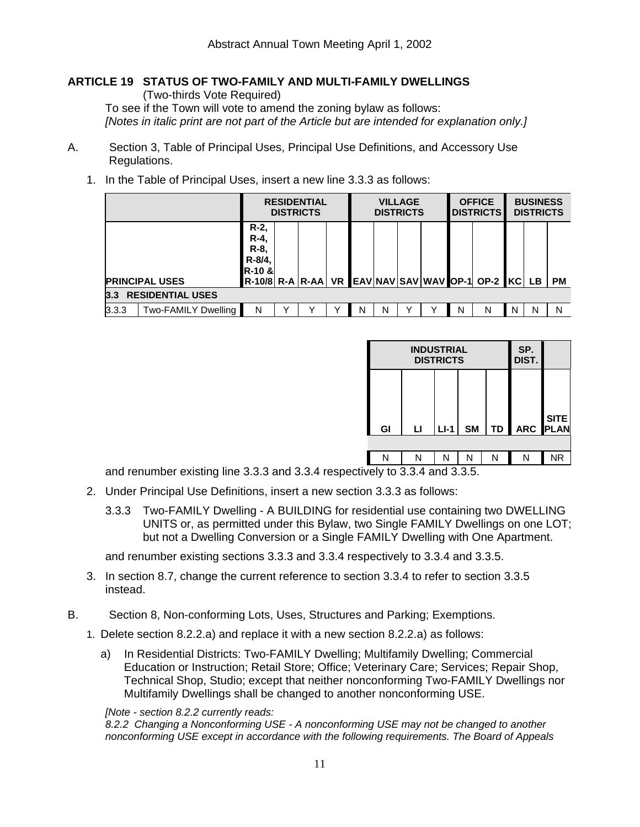# **ARTICLE 19 STATUS OF TWO-FAMILY AND MULTI-FAMILY DWELLINGS**

(Two-thirds Vote Required)

To see if the Town will vote to amend the zoning bylaw as follows: *[Notes in italic print are not part of the Article but are intended for explanation only.]* 

- A. Section 3, Table of Principal Uses, Principal Use Definitions, and Accessory Use Regulations.
	- 1. In the Table of Principal Uses, insert a new line 3.3.3 as follows:

|                              |                         | <b>RESIDENTIAL</b><br><b>DISTRICTS</b>                                                             |  |  | <b>VILLAGE</b><br><b>DISTRICTS</b> |   |   | <b>OFFICE</b><br><b>DISTRICTS</b> |  | <b>BUSINESS</b><br><b>DISTRICTS</b> |   |   |   |    |
|------------------------------|-------------------------|----------------------------------------------------------------------------------------------------|--|--|------------------------------------|---|---|-----------------------------------|--|-------------------------------------|---|---|---|----|
| <b>PRINCIPAL USES</b>        |                         | $R-2$ .<br>$R-4$<br>R-8.<br>R-8/4.<br>R-10 &<br>R-10/8 R-A R-AA VR EAV NAV SAV WAV OP-1 OP-2 KC LB |  |  |                                    |   |   |                                   |  |                                     |   |   |   | PM |
| 3.3                          | <b>RESIDENTIAL USES</b> |                                                                                                    |  |  |                                    |   |   |                                   |  |                                     |   |   |   |    |
| 3.3.3<br>Two-FAMILY Dwelling |                         | N                                                                                                  |  |  |                                    | N | N | v                                 |  | N                                   | N | N | N | N  |

|    | <b>INDUSTRIAL</b><br><b>DISTRICTS</b> | SP.<br>DIST. |           |           |     |             |
|----|---------------------------------------|--------------|-----------|-----------|-----|-------------|
|    |                                       |              |           |           |     | <b>SITE</b> |
| GI | Ы                                     | $L - 1$      | <b>SM</b> | <b>TD</b> | ARC | <b>PLAN</b> |
|    |                                       |              |           |           |     |             |
|    |                                       |              |           |           |     | ΝR          |

and renumber existing line 3.3.3 and 3.3.4 respectively to 3.3.4 and 3.3.5.

- 2. Under Principal Use Definitions, insert a new section 3.3.3 as follows:
	- 3.3.3 Two-FAMILY Dwelling A BUILDING for residential use containing two DWELLING UNITS or, as permitted under this Bylaw, two Single FAMILY Dwellings on one LOT; but not a Dwelling Conversion or a Single FAMILY Dwelling with One Apartment.

and renumber existing sections 3.3.3 and 3.3.4 respectively to 3.3.4 and 3.3.5.

- 3. In section 8.7, change the current reference to section 3.3.4 to refer to section 3.3.5 instead.
- B. Section 8, Non-conforming Lots, Uses, Structures and Parking; Exemptions.
	- 1. Delete section 8.2.2.a) and replace it with a new section 8.2.2.a) as follows:
		- a) In Residential Districts: Two-FAMILY Dwelling; Multifamily Dwelling; Commercial Education or Instruction; Retail Store; Office; Veterinary Care; Services; Repair Shop, Technical Shop, Studio; except that neither nonconforming Two-FAMILY Dwellings nor Multifamily Dwellings shall be changed to another nonconforming USE.

*[Note - section 8.2.2 currently reads:* 

*8.2.2 Changing a Nonconforming USE - A nonconforming USE may not be changed to another nonconforming USE except in accordance with the following requirements. The Board of Appeals*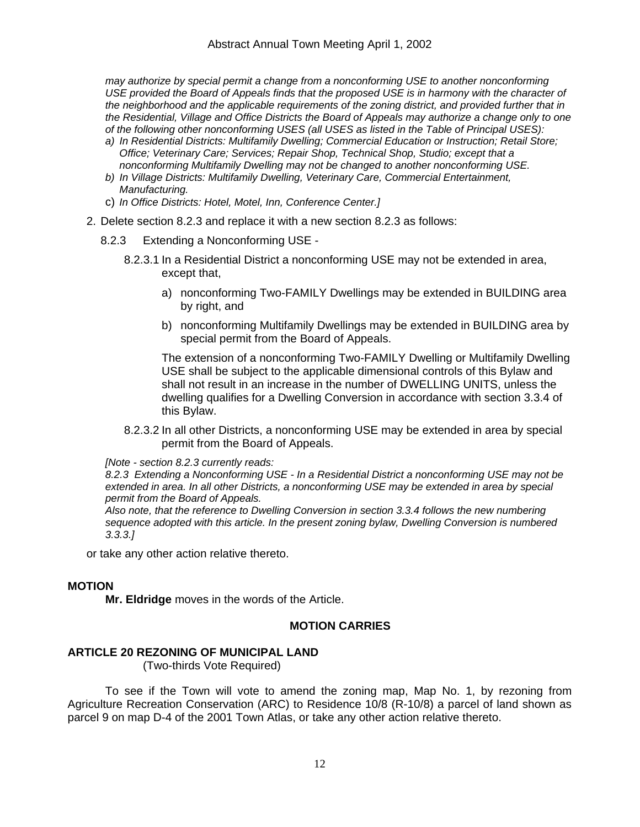*may authorize by special permit a change from a nonconforming USE to another nonconforming USE provided the Board of Appeals finds that the proposed USE is in harmony with the character of the neighborhood and the applicable requirements of the zoning district, and provided further that in the Residential, Village and Office Districts the Board of Appeals may authorize a change only to one of the following other nonconforming USES (all USES as listed in the Table of Principal USES):* 

- *a) In Residential Districts: Multifamily Dwelling; Commercial Education or Instruction; Retail Store; Office; Veterinary Care; Services; Repair Shop, Technical Shop, Studio; except that a nonconforming Multifamily Dwelling may not be changed to another nonconforming USE.*
- *b) In Village Districts: Multifamily Dwelling, Veterinary Care, Commercial Entertainment, Manufacturing.*
- c) *In Office Districts: Hotel, Motel, Inn, Conference Center.]*
- 2. Delete section 8.2.3 and replace it with a new section 8.2.3 as follows:
	- 8.2.3 Extending a Nonconforming USE
		- 8.2.3.1 In a Residential District a nonconforming USE may not be extended in area, except that,
			- a) nonconforming Two-FAMILY Dwellings may be extended in BUILDING area by right, and
			- b) nonconforming Multifamily Dwellings may be extended in BUILDING area by special permit from the Board of Appeals.

The extension of a nonconforming Two-FAMILY Dwelling or Multifamily Dwelling USE shall be subject to the applicable dimensional controls of this Bylaw and shall not result in an increase in the number of DWELLING UNITS, unless the dwelling qualifies for a Dwelling Conversion in accordance with section 3.3.4 of this Bylaw.

8.2.3.2 In all other Districts, a nonconforming USE may be extended in area by special permit from the Board of Appeals.

#### *[Note - section 8.2.3 currently reads:*

*8.2.3 Extending a Nonconforming USE - In a Residential District a nonconforming USE may not be extended in area. In all other Districts, a nonconforming USE may be extended in area by special permit from the Board of Appeals.* 

*Also note, that the reference to Dwelling Conversion in section 3.3.4 follows the new numbering sequence adopted with this article. In the present zoning bylaw, Dwelling Conversion is numbered 3.3.3.]* 

or take any other action relative thereto.

### **MOTION**

**Mr. Eldridge** moves in the words of the Article.

### **MOTION CARRIES**

### **ARTICLE 20 REZONING OF MUNICIPAL LAND**

(Two-thirds Vote Required)

To see if the Town will vote to amend the zoning map, Map No. 1, by rezoning from Agriculture Recreation Conservation (ARC) to Residence 10/8 (R-10/8) a parcel of land shown as parcel 9 on map D-4 of the 2001 Town Atlas, or take any other action relative thereto.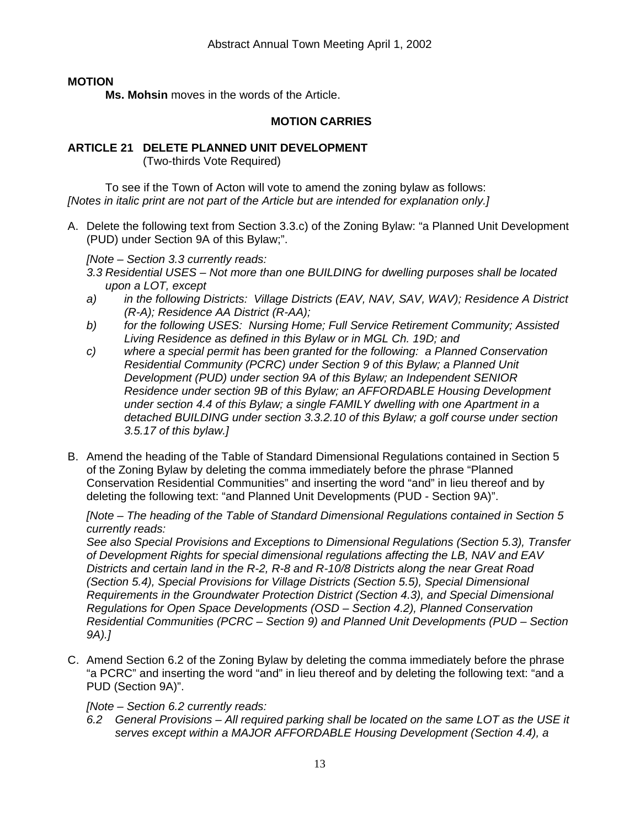# **MOTION**

**Ms. Mohsin** moves in the words of the Article.

### **MOTION CARRIES**

# **ARTICLE 21 DELETE PLANNED UNIT DEVELOPMENT**

(Two-thirds Vote Required)

To see if the Town of Acton will vote to amend the zoning bylaw as follows: *[Notes in italic print are not part of the Article but are intended for explanation only.]* 

A. Delete the following text from Section 3.3.c) of the Zoning Bylaw: "a Planned Unit Development (PUD) under Section 9A of this Bylaw;".

*[Note – Section 3.3 currently reads:* 

*3.3 Residential USES – Not more than one BUILDING for dwelling purposes shall be located upon a LOT, except* 

- *a) in the following Districts: Village Districts (EAV, NAV, SAV, WAV); Residence A District (R-A); Residence AA District (R-AA);*
- *b) for the following USES: Nursing Home; Full Service Retirement Community; Assisted Living Residence as defined in this Bylaw or in MGL Ch. 19D; and*
- *c) where a special permit has been granted for the following: a Planned Conservation Residential Community (PCRC) under Section 9 of this Bylaw; a Planned Unit Development (PUD) under section 9A of this Bylaw; an Independent SENIOR Residence under section 9B of this Bylaw; an AFFORDABLE Housing Development under section 4.4 of this Bylaw; a single FAMILY dwelling with one Apartment in a detached BUILDING under section 3.3.2.10 of this Bylaw; a golf course under section 3.5.17 of this bylaw.]*
- B. Amend the heading of the Table of Standard Dimensional Regulations contained in Section 5 of the Zoning Bylaw by deleting the comma immediately before the phrase "Planned Conservation Residential Communities" and inserting the word "and" in lieu thereof and by deleting the following text: "and Planned Unit Developments (PUD - Section 9A)".

*[Note – The heading of the Table of Standard Dimensional Regulations contained in Section 5 currently reads:* 

*See also Special Provisions and Exceptions to Dimensional Regulations (Section 5.3), Transfer of Development Rights for special dimensional regulations affecting the LB, NAV and EAV Districts and certain land in the R-2, R-8 and R-10/8 Districts along the near Great Road (Section 5.4), Special Provisions for Village Districts (Section 5.5), Special Dimensional Requirements in the Groundwater Protection District (Section 4.3), and Special Dimensional Regulations for Open Space Developments (OSD – Section 4.2), Planned Conservation Residential Communities (PCRC – Section 9) and Planned Unit Developments (PUD – Section 9A).]* 

C. Amend Section 6.2 of the Zoning Bylaw by deleting the comma immediately before the phrase "a PCRC" and inserting the word "and" in lieu thereof and by deleting the following text: "and a PUD (Section 9A)".

*[Note – Section 6.2 currently reads:* 

*6.2 General Provisions – All required parking shall be located on the same LOT as the USE it serves except within a MAJOR AFFORDABLE Housing Development (Section 4.4), a*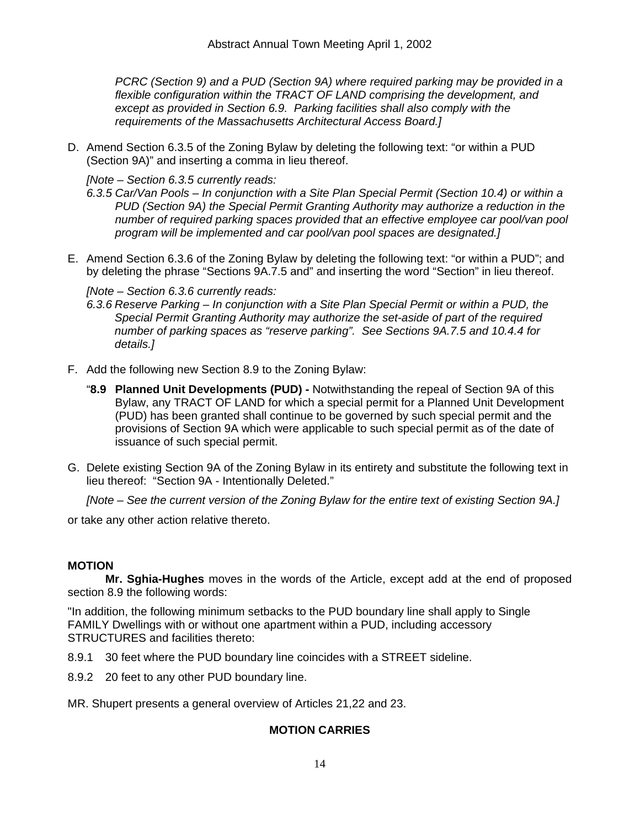*PCRC (Section 9) and a PUD (Section 9A) where required parking may be provided in a flexible configuration within the TRACT OF LAND comprising the development, and except as provided in Section 6.9. Parking facilities shall also comply with the requirements of the Massachusetts Architectural Access Board.]* 

D. Amend Section 6.3.5 of the Zoning Bylaw by deleting the following text: "or within a PUD (Section 9A)" and inserting a comma in lieu thereof.

*[Note – Section 6.3.5 currently reads:* 

*6.3.5 Car/Van Pools – In conjunction with a Site Plan Special Permit (Section 10.4) or within a PUD (Section 9A) the Special Permit Granting Authority may authorize a reduction in the number of required parking spaces provided that an effective employee car pool/van pool program will be implemented and car pool/van pool spaces are designated.]* 

E. Amend Section 6.3.6 of the Zoning Bylaw by deleting the following text: "or within a PUD"; and by deleting the phrase "Sections 9A.7.5 and" and inserting the word "Section" in lieu thereof.

*[Note – Section 6.3.6 currently reads:* 

- *6.3.6 Reserve Parking In conjunction with a Site Plan Special Permit or within a PUD, the Special Permit Granting Authority may authorize the set-aside of part of the required number of parking spaces as "reserve parking". See Sections 9A.7.5 and 10.4.4 for details.]*
- F. Add the following new Section 8.9 to the Zoning Bylaw:
	- "**8.9 Planned Unit Developments (PUD)** Notwithstanding the repeal of Section 9A of this Bylaw, any TRACT OF LAND for which a special permit for a Planned Unit Development (PUD) has been granted shall continue to be governed by such special permit and the provisions of Section 9A which were applicable to such special permit as of the date of issuance of such special permit.
- G. Delete existing Section 9A of the Zoning Bylaw in its entirety and substitute the following text in lieu thereof: "Section 9A - Intentionally Deleted."

*[Note – See the current version of the Zoning Bylaw for the entire text of existing Section 9A.]* 

or take any other action relative thereto.

# **MOTION**

**Mr. Sghia-Hughes** moves in the words of the Article, except add at the end of proposed section 8.9 the following words:

"In addition, the following minimum setbacks to the PUD boundary line shall apply to Single FAMILY Dwellings with or without one apartment within a PUD, including accessory STRUCTURES and facilities thereto:

- 8.9.1 30 feet where the PUD boundary line coincides with a STREET sideline.
- 8.9.2 20 feet to any other PUD boundary line.

MR. Shupert presents a general overview of Articles 21,22 and 23.

# **MOTION CARRIES**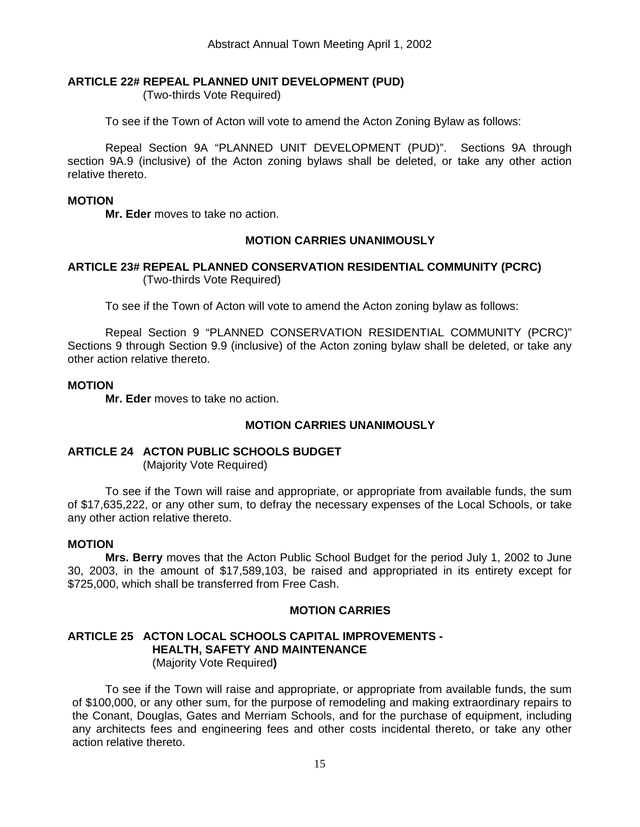# **ARTICLE 22# REPEAL PLANNED UNIT DEVELOPMENT (PUD)**

(Two-thirds Vote Required)

To see if the Town of Acton will vote to amend the Acton Zoning Bylaw as follows:

 Repeal Section 9A "PLANNED UNIT DEVELOPMENT (PUD)". Sections 9A through section 9A.9 (inclusive) of the Acton zoning bylaws shall be deleted, or take any other action relative thereto.

### **MOTION**

**Mr. Eder** moves to take no action.

### **MOTION CARRIES UNANIMOUSLY**

### **ARTICLE 23# REPEAL PLANNED CONSERVATION RESIDENTIAL COMMUNITY (PCRC)** (Two-thirds Vote Required)

To see if the Town of Acton will vote to amend the Acton zoning bylaw as follows:

 Repeal Section 9 "PLANNED CONSERVATION RESIDENTIAL COMMUNITY (PCRC)" Sections 9 through Section 9.9 (inclusive) of the Acton zoning bylaw shall be deleted, or take any other action relative thereto.

### **MOTION**

**Mr. Eder** moves to take no action.

# **MOTION CARRIES UNANIMOUSLY**

# **ARTICLE 24 ACTON PUBLIC SCHOOLS BUDGET**

(Majority Vote Required)

 To see if the Town will raise and appropriate, or appropriate from available funds, the sum of \$17,635,222, or any other sum, to defray the necessary expenses of the Local Schools, or take any other action relative thereto.

### **MOTION**

**Mrs. Berry** moves that the Acton Public School Budget for the period July 1, 2002 to June 30, 2003, in the amount of \$17,589,103, be raised and appropriated in its entirety except for \$725,000, which shall be transferred from Free Cash.

### **MOTION CARRIES**

#### **ARTICLE 25 ACTON LOCAL SCHOOLS CAPITAL IMPROVEMENTS - HEALTH, SAFETY AND MAINTENANCE** (Majority Vote Required**)**

To see if the Town will raise and appropriate, or appropriate from available funds, the sum of \$100,000, or any other sum, for the purpose of remodeling and making extraordinary repairs to the Conant, Douglas, Gates and Merriam Schools, and for the purchase of equipment, including any architects fees and engineering fees and other costs incidental thereto, or take any other action relative thereto.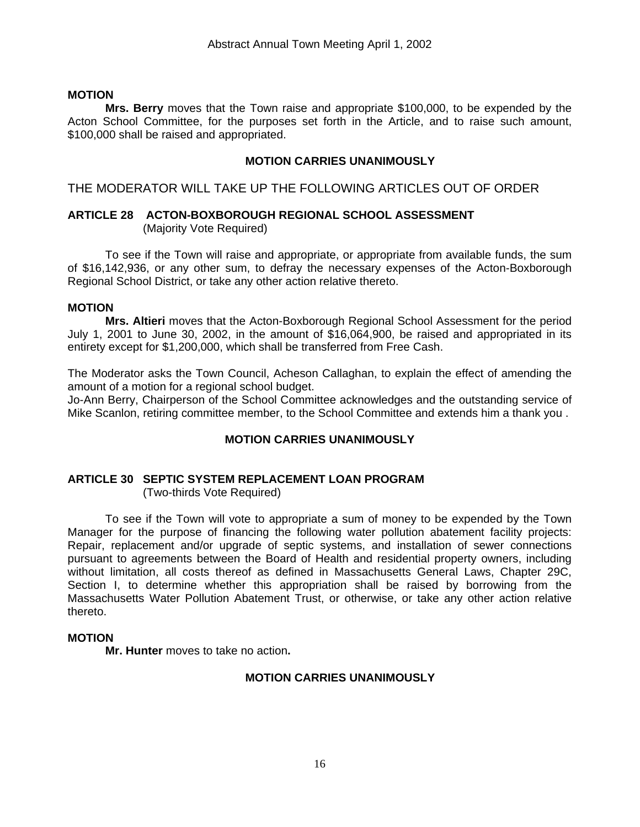# **MOTION**

**Mrs. Berry** moves that the Town raise and appropriate \$100,000, to be expended by the Acton School Committee, for the purposes set forth in the Article, and to raise such amount, \$100,000 shall be raised and appropriated.

# **MOTION CARRIES UNANIMOUSLY**

THE MODERATOR WILL TAKE UP THE FOLLOWING ARTICLES OUT OF ORDER

# **ARTICLE 28 ACTON-BOXBOROUGH REGIONAL SCHOOL ASSESSMENT** (Majority Vote Required)

 To see if the Town will raise and appropriate, or appropriate from available funds, the sum of \$16,142,936, or any other sum, to defray the necessary expenses of the Acton-Boxborough Regional School District, or take any other action relative thereto.

# **MOTION**

**Mrs. Altieri** moves that the Acton-Boxborough Regional School Assessment for the period July 1, 2001 to June 30, 2002, in the amount of \$16,064,900, be raised and appropriated in its entirety except for \$1,200,000, which shall be transferred from Free Cash.

The Moderator asks the Town Council, Acheson Callaghan, to explain the effect of amending the amount of a motion for a regional school budget.

Jo-Ann Berry, Chairperson of the School Committee acknowledges and the outstanding service of Mike Scanlon, retiring committee member, to the School Committee and extends him a thank you .

# **MOTION CARRIES UNANIMOUSLY**

# **ARTICLE 30 SEPTIC SYSTEM REPLACEMENT LOAN PROGRAM**

(Two-thirds Vote Required)

To see if the Town will vote to appropriate a sum of money to be expended by the Town Manager for the purpose of financing the following water pollution abatement facility projects: Repair, replacement and/or upgrade of septic systems, and installation of sewer connections pursuant to agreements between the Board of Health and residential property owners, including without limitation, all costs thereof as defined in Massachusetts General Laws, Chapter 29C, Section I, to determine whether this appropriation shall be raised by borrowing from the Massachusetts Water Pollution Abatement Trust, or otherwise, or take any other action relative thereto.

# **MOTION**

**Mr. Hunter** moves to take no action**.** 

# **MOTION CARRIES UNANIMOUSLY**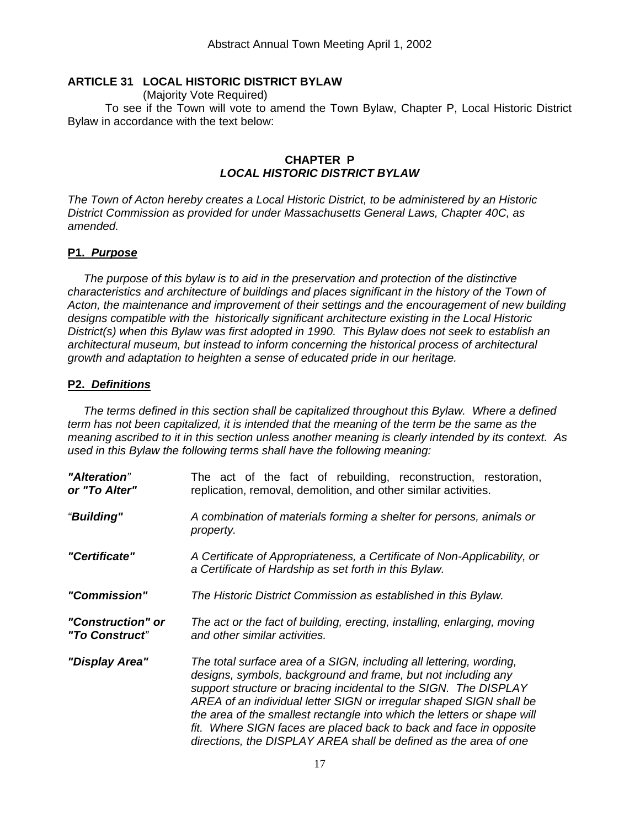# **ARTICLE 31 LOCAL HISTORIC DISTRICT BYLAW**

(Majority Vote Required)

 To see if the Town will vote to amend the Town Bylaw, Chapter P, Local Historic District Bylaw in accordance with the text below:

# **CHAPTER P**  *LOCAL HISTORIC DISTRICT BYLAW*

*The Town of Acton hereby creates a Local Historic District, to be administered by an Historic District Commission as provided for under Massachusetts General Laws, Chapter 40C, as amended.* 

# **P1.** *Purpose*

 *The purpose of this bylaw is to aid in the preservation and protection of the distinctive*  characteristics and architecture of buildings and places significant in the history of the Town of *Acton, the maintenance and improvement of their settings and the encouragement of new building designs compatible with the historically significant architecture existing in the Local Historic District(s) when this Bylaw was first adopted in 1990. This Bylaw does not seek to establish an architectural museum, but instead to inform concerning the historical process of architectural growth and adaptation to heighten a sense of educated pride in our heritage.* 

# **P2.** *Definitions*

 *The terms defined in this section shall be capitalized throughout this Bylaw. Where a defined term has not been capitalized, it is intended that the meaning of the term be the same as the meaning ascribed to it in this section unless another meaning is clearly intended by its context. As used in this Bylaw the following terms shall have the following meaning:* 

| "Alteration"<br>or "To Alter"       | The act of the fact of rebuilding, reconstruction, restoration,<br>replication, removal, demolition, and other similar activities.                                                                                                                                                                                                                                                                                                                                                                   |  |  |  |  |  |  |  |  |
|-------------------------------------|------------------------------------------------------------------------------------------------------------------------------------------------------------------------------------------------------------------------------------------------------------------------------------------------------------------------------------------------------------------------------------------------------------------------------------------------------------------------------------------------------|--|--|--|--|--|--|--|--|
| "Building"                          | A combination of materials forming a shelter for persons, animals or<br>property.                                                                                                                                                                                                                                                                                                                                                                                                                    |  |  |  |  |  |  |  |  |
| "Certificate"                       | A Certificate of Appropriateness, a Certificate of Non-Applicability, or<br>a Certificate of Hardship as set forth in this Bylaw.                                                                                                                                                                                                                                                                                                                                                                    |  |  |  |  |  |  |  |  |
| "Commission"                        | The Historic District Commission as established in this Bylaw.                                                                                                                                                                                                                                                                                                                                                                                                                                       |  |  |  |  |  |  |  |  |
| "Construction" or<br>"To Construct" | The act or the fact of building, erecting, installing, enlarging, moving<br>and other similar activities.                                                                                                                                                                                                                                                                                                                                                                                            |  |  |  |  |  |  |  |  |
| "Display Area"                      | The total surface area of a SIGN, including all lettering, wording,<br>designs, symbols, background and frame, but not including any<br>support structure or bracing incidental to the SIGN. The DISPLAY<br>AREA of an individual letter SIGN or irregular shaped SIGN shall be<br>the area of the smallest rectangle into which the letters or shape will<br>fit. Where SIGN faces are placed back to back and face in opposite<br>directions, the DISPLAY AREA shall be defined as the area of one |  |  |  |  |  |  |  |  |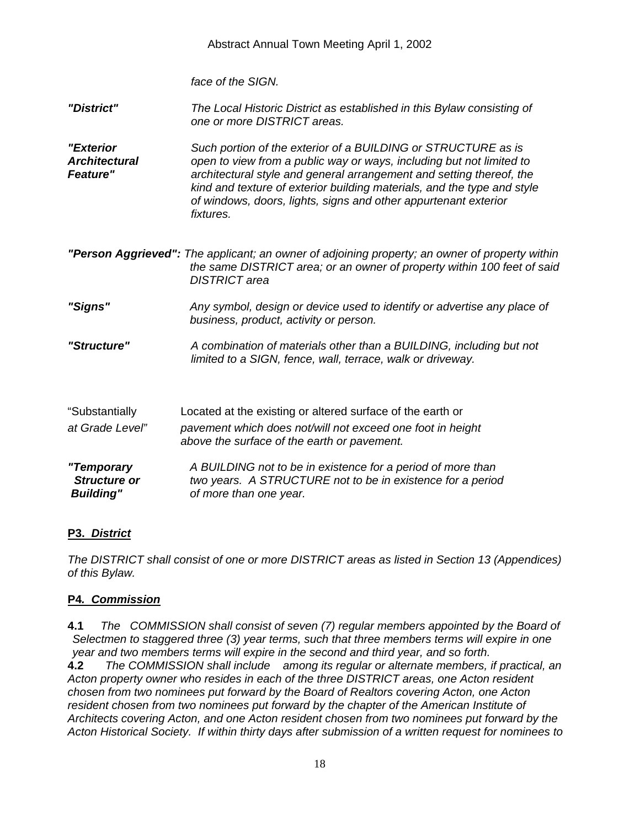|                                                       | Abstract Annual Town Meeting April 1, 2002                                                                                                                                                                                                                                                                                                                               |
|-------------------------------------------------------|--------------------------------------------------------------------------------------------------------------------------------------------------------------------------------------------------------------------------------------------------------------------------------------------------------------------------------------------------------------------------|
|                                                       | face of the SIGN.                                                                                                                                                                                                                                                                                                                                                        |
| "District"                                            | The Local Historic District as established in this Bylaw consisting of<br>one or more DISTRICT areas.                                                                                                                                                                                                                                                                    |
| "Exterior<br><b>Architectural</b><br><b>Feature"</b>  | Such portion of the exterior of a BUILDING or STRUCTURE as is<br>open to view from a public way or ways, including but not limited to<br>architectural style and general arrangement and setting thereof, the<br>kind and texture of exterior building materials, and the type and style<br>of windows, doors, lights, signs and other appurtenant exterior<br>fixtures. |
|                                                       | "Person Aggrieved": The applicant; an owner of adjoining property; an owner of property within<br>the same DISTRICT area; or an owner of property within 100 feet of said<br><b>DISTRICT</b> area                                                                                                                                                                        |
| "Signs"                                               | Any symbol, design or device used to identify or advertise any place of<br>business, product, activity or person.                                                                                                                                                                                                                                                        |
| "Structure"                                           | A combination of materials other than a BUILDING, including but not<br>limited to a SIGN, fence, wall, terrace, walk or driveway.                                                                                                                                                                                                                                        |
| "Substantially<br>at Grade Level"                     | Located at the existing or altered surface of the earth or<br>pavement which does not/will not exceed one foot in height<br>above the surface of the earth or pavement.                                                                                                                                                                                                  |
| "Temporary<br><b>Structure or</b><br><b>Building"</b> | A BUILDING not to be in existence for a period of more than<br>two years. A STRUCTURE not to be in existence for a period<br>of more than one year.                                                                                                                                                                                                                      |

# **P3.** *District*

*The DISTRICT shall consist of one or more DISTRICT areas as listed in Section 13 (Appendices) of this Bylaw.* 

### **P4***. Commission*

**4.1** *The COMMISSION shall consist of seven (7) regular members appointed by the Board of Selectmen to staggered three (3) year terms, such that three members terms will expire in one year and two members terms will expire in the second and third year, and so forth.* 

**4.2** *The COMMISSION shall include among its regular or alternate members, if practical, an Acton property owner who resides in each of the three DISTRICT areas, one Acton resident chosen from two nominees put forward by the Board of Realtors covering Acton, one Acton resident chosen from two nominees put forward by the chapter of the American Institute of Architects covering Acton, and one Acton resident chosen from two nominees put forward by the Acton Historical Society. If within thirty days after submission of a written request for nominees to*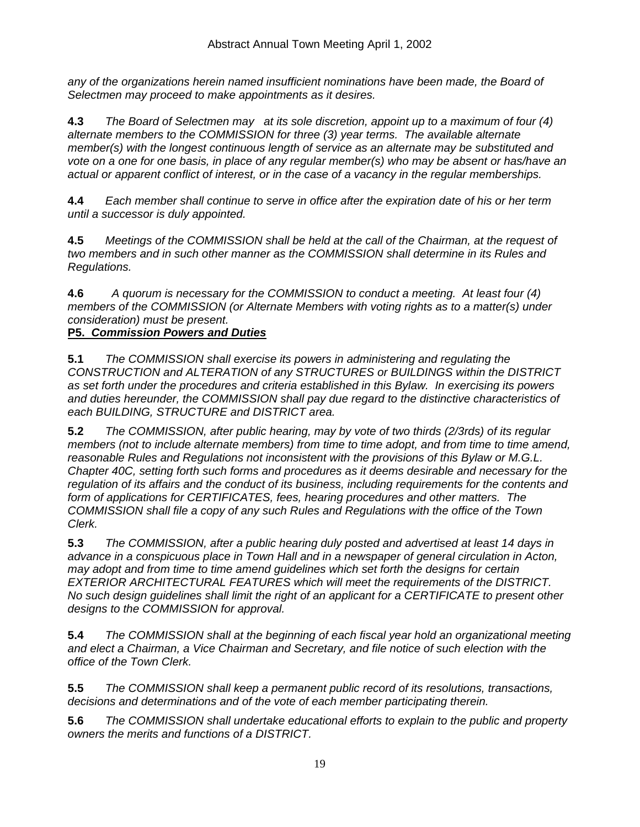*any of the organizations herein named insufficient nominations have been made, the Board of Selectmen may proceed to make appointments as it desires.* 

**4.3** *The Board of Selectmen may at its sole discretion, appoint up to a maximum of four (4) alternate members to the COMMISSION for three (3) year terms. The available alternate member(s) with the longest continuous length of service as an alternate may be substituted and vote on a one for one basis, in place of any regular member(s) who may be absent or has/have an actual or apparent conflict of interest, or in the case of a vacancy in the regular memberships.* 

**4.4** *Each member shall continue to serve in office after the expiration date of his or her term until a successor is duly appointed.* 

**4.5** *Meetings of the COMMISSION shall be held at the call of the Chairman, at the request of*  two members and in such other manner as the COMMISSION shall determine in its Rules and *Regulations.* 

**4.6** *A quorum is necessary for the COMMISSION to conduct a meeting. At least four (4) members of the COMMISSION (or Alternate Members with voting rights as to a matter(s) under consideration) must be present.* 

# **P5.** *Commission Powers and Duties*

**5.1** *The COMMISSION shall exercise its powers in administering and regulating the CONSTRUCTION and ALTERATION of any STRUCTURES or BUILDINGS within the DISTRICT as set forth under the procedures and criteria established in this Bylaw. In exercising its powers and duties hereunder, the COMMISSION shall pay due regard to the distinctive characteristics of each BUILDING, STRUCTURE and DISTRICT area.* 

**5.2** *The COMMISSION, after public hearing, may by vote of two thirds (2/3rds) of its regular members (not to include alternate members) from time to time adopt, and from time to time amend, reasonable Rules and Regulations not inconsistent with the provisions of this Bylaw or M.G.L. Chapter 40C, setting forth such forms and procedures as it deems desirable and necessary for the regulation of its affairs and the conduct of its business, including requirements for the contents and*  form of applications for CERTIFICATES, fees, hearing procedures and other matters. The *COMMISSION shall file a copy of any such Rules and Regulations with the office of the Town Clerk.* 

**5.3** *The COMMISSION, after a public hearing duly posted and advertised at least 14 days in advance in a conspicuous place in Town Hall and in a newspaper of general circulation in Acton, may adopt and from time to time amend guidelines which set forth the designs for certain EXTERIOR ARCHITECTURAL FEATURES which will meet the requirements of the DISTRICT. No such design guidelines shall limit the right of an applicant for a CERTIFICATE to present other designs to the COMMISSION for approval.* 

**5.4** *The COMMISSION shall at the beginning of each fiscal year hold an organizational meeting and elect a Chairman, a Vice Chairman and Secretary, and file notice of such election with the office of the Town Clerk.* 

**5.5** *The COMMISSION shall keep a permanent public record of its resolutions, transactions, decisions and determinations and of the vote of each member participating therein.*

**5.6** *The COMMISSION shall undertake educational efforts to explain to the public and property owners the merits and functions of a DISTRICT.*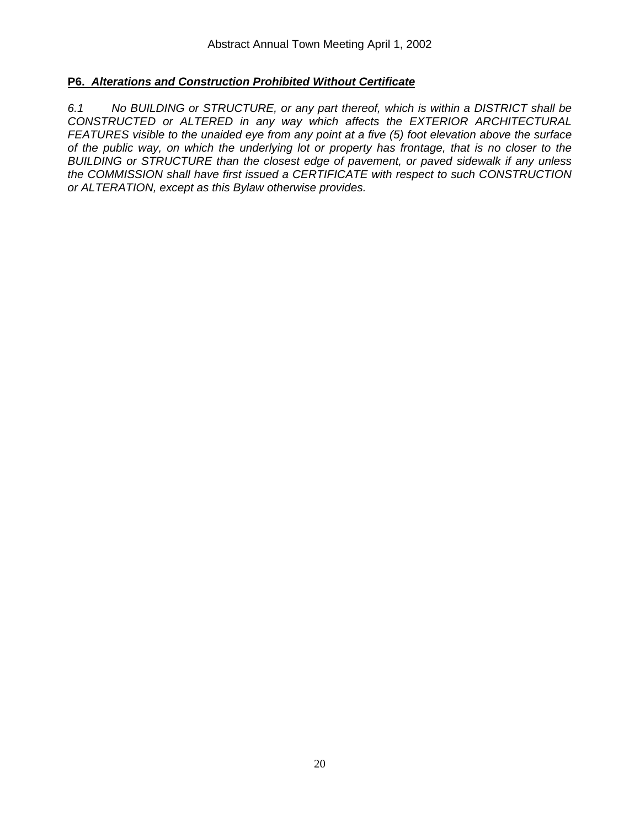# **P6.** *Alterations and Construction Prohibited Without Certificate*

*6.1 No BUILDING or STRUCTURE, or any part thereof, which is within a DISTRICT shall be CONSTRUCTED or ALTERED in any way which affects the EXTERIOR ARCHITECTURAL FEATURES visible to the unaided eye from any point at a five (5) foot elevation above the surface of the public way, on which the underlying lot or property has frontage, that is no closer to the BUILDING or STRUCTURE than the closest edge of pavement, or paved sidewalk if any unless the COMMISSION shall have first issued a CERTIFICATE with respect to such CONSTRUCTION or ALTERATION, except as this Bylaw otherwise provides.*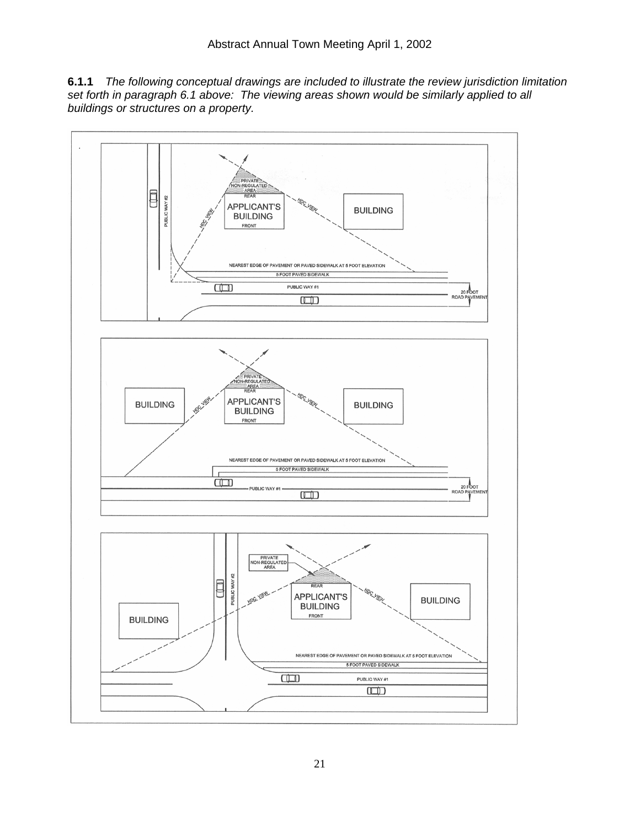**6.1.1** *The following conceptual drawings are included to illustrate the review jurisdiction limitation set forth in paragraph 6.1 above: The viewing areas shown would be similarly applied to all buildings or structures on a property.* 

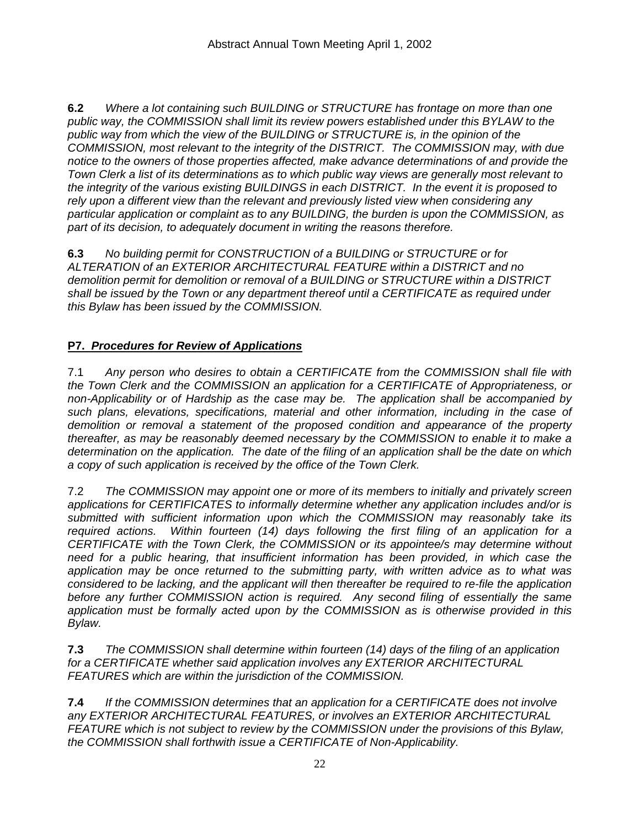**6.2** *Where a lot containing such BUILDING or STRUCTURE has frontage on more than one public way, the COMMISSION shall limit its review powers established under this BYLAW to the public way from which the view of the BUILDING or STRUCTURE is, in the opinion of the COMMISSION, most relevant to the integrity of the DISTRICT. The COMMISSION may, with due notice to the owners of those properties affected, make advance determinations of and provide the Town Clerk a list of its determinations as to which public way views are generally most relevant to the integrity of the various existing BUILDINGS in each DISTRICT. In the event it is proposed to rely upon a different view than the relevant and previously listed view when considering any particular application or complaint as to any BUILDING, the burden is upon the COMMISSION, as part of its decision, to adequately document in writing the reasons therefore.* 

**6.3** *No building permit for CONSTRUCTION of a BUILDING or STRUCTURE or for ALTERATION of an EXTERIOR ARCHITECTURAL FEATURE within a DISTRICT and no demolition permit for demolition or removal of a BUILDING or STRUCTURE within a DISTRICT shall be issued by the Town or any department thereof until a CERTIFICATE as required under this Bylaw has been issued by the COMMISSION.* 

# **P7.** *Procedures for Review of Applications*

7.1 *Any person who desires to obtain a CERTIFICATE from the COMMISSION shall file with the Town Clerk and the COMMISSION an application for a CERTIFICATE of Appropriateness, or non-Applicability or of Hardship as the case may be. The application shall be accompanied by such plans, elevations, specifications, material and other information, including in the case of demolition or removal a statement of the proposed condition and appearance of the property thereafter, as may be reasonably deemed necessary by the COMMISSION to enable it to make a determination on the application. The date of the filing of an application shall be the date on which a copy of such application is received by the office of the Town Clerk.* 

7.2 *The COMMISSION may appoint one or more of its members to initially and privately screen applications for CERTIFICATES to informally determine whether any application includes and/or is submitted with sufficient information upon which the COMMISSION may reasonably take its required actions. Within fourteen (14) days following the first filing of an application for a CERTIFICATE with the Town Clerk, the COMMISSION or its appointee/s may determine without need for a public hearing, that insufficient information has been provided, in which case the application may be once returned to the submitting party, with written advice as to what was considered to be lacking, and the applicant will then thereafter be required to re-file the application before any further COMMISSION action is required. Any second filing of essentially the same application must be formally acted upon by the COMMISSION as is otherwise provided in this Bylaw.* 

**7.3** *The COMMISSION shall determine within fourteen (14) days of the filing of an application for a CERTIFICATE whether said application involves any EXTERIOR ARCHITECTURAL FEATURES which are within the jurisdiction of the COMMISSION.* 

**7.4** *If the COMMISSION determines that an application for a CERTIFICATE does not involve any EXTERIOR ARCHITECTURAL FEATURES, or involves an EXTERIOR ARCHITECTURAL FEATURE which is not subject to review by the COMMISSION under the provisions of this Bylaw, the COMMISSION shall forthwith issue a CERTIFICATE of Non-Applicability.*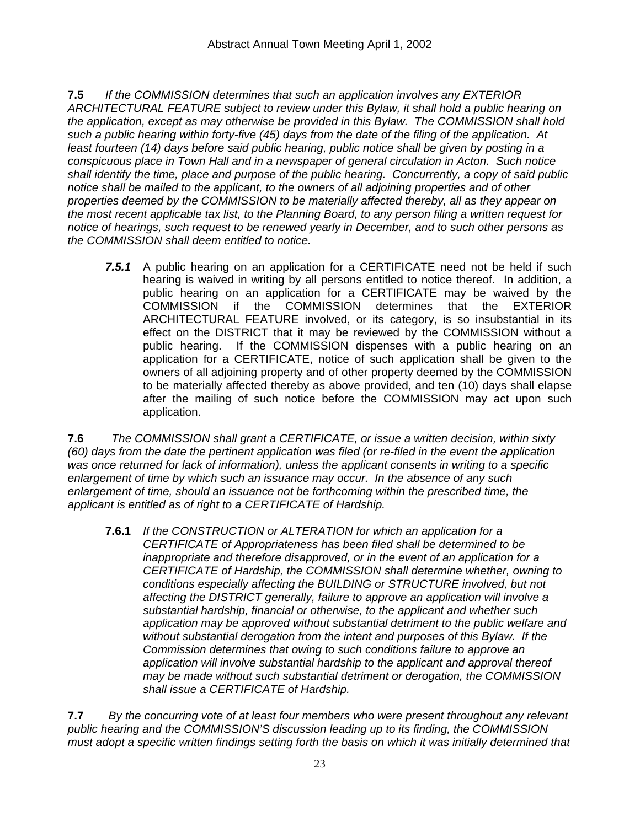**7.5** *If the COMMISSION determines that such an application involves any EXTERIOR ARCHITECTURAL FEATURE subject to review under this Bylaw, it shall hold a public hearing on the application, except as may otherwise be provided in this Bylaw. The COMMISSION shall hold such a public hearing within forty-five (45) days from the date of the filing of the application. At least fourteen (14) days before said public hearing, public notice shall be given by posting in a conspicuous place in Town Hall and in a newspaper of general circulation in Acton. Such notice shall identify the time, place and purpose of the public hearing. Concurrently, a copy of said public notice shall be mailed to the applicant, to the owners of all adjoining properties and of other properties deemed by the COMMISSION to be materially affected thereby, all as they appear on the most recent applicable tax list, to the Planning Board, to any person filing a written request for notice of hearings, such request to be renewed yearly in December, and to such other persons as the COMMISSION shall deem entitled to notice.* 

*7.5.1* A public hearing on an application for a CERTIFICATE need not be held if such hearing is waived in writing by all persons entitled to notice thereof. In addition, a public hearing on an application for a CERTIFICATE may be waived by the COMMISSION if the COMMISSION determines that the EXTERIOR ARCHITECTURAL FEATURE involved, or its category, is so insubstantial in its effect on the DISTRICT that it may be reviewed by the COMMISSION without a public hearing. If the COMMISSION dispenses with a public hearing on an application for a CERTIFICATE, notice of such application shall be given to the owners of all adjoining property and of other property deemed by the COMMISSION to be materially affected thereby as above provided, and ten (10) days shall elapse after the mailing of such notice before the COMMISSION may act upon such application.

**7.6** *The COMMISSION shall grant a CERTIFICATE, or issue a written decision, within sixty (60) days from the date the pertinent application was filed (or re-filed in the event the application was once returned for lack of information), unless the applicant consents in writing to a specific enlargement of time by which such an issuance may occur. In the absence of any such enlargement of time, should an issuance not be forthcoming within the prescribed time, the applicant is entitled as of right to a CERTIFICATE of Hardship.* 

**7.6.1** *If the CONSTRUCTION or ALTERATION for which an application for a CERTIFICATE of Appropriateness has been filed shall be determined to be inappropriate and therefore disapproved, or in the event of an application for a CERTIFICATE of Hardship, the COMMISSION shall determine whether, owning to conditions especially affecting the BUILDING or STRUCTURE involved, but not affecting the DISTRICT generally, failure to approve an application will involve a substantial hardship, financial or otherwise, to the applicant and whether such application may be approved without substantial detriment to the public welfare and without substantial derogation from the intent and purposes of this Bylaw. If the Commission determines that owing to such conditions failure to approve an application will involve substantial hardship to the applicant and approval thereof may be made without such substantial detriment or derogation, the COMMISSION shall issue a CERTIFICATE of Hardship.* 

**7.7** *By the concurring vote of at least four members who were present throughout any relevant public hearing and the COMMISSION'S discussion leading up to its finding, the COMMISSION must adopt a specific written findings setting forth the basis on which it was initially determined that*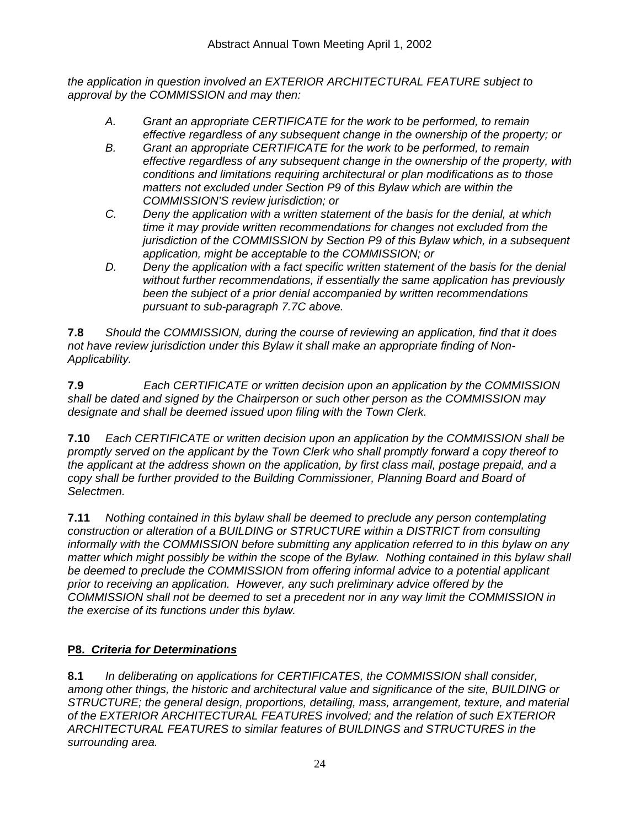*the application in question involved an EXTERIOR ARCHITECTURAL FEATURE subject to approval by the COMMISSION and may then:* 

- *A. Grant an appropriate CERTIFICATE for the work to be performed, to remain effective regardless of any subsequent change in the ownership of the property; or*
- *B. Grant an appropriate CERTIFICATE for the work to be performed, to remain effective regardless of any subsequent change in the ownership of the property, with conditions and limitations requiring architectural or plan modifications as to those matters not excluded under Section P9 of this Bylaw which are within the COMMISSION'S review jurisdiction; or*
- *C. Deny the application with a written statement of the basis for the denial, at which time it may provide written recommendations for changes not excluded from the jurisdiction of the COMMISSION by Section P9 of this Bylaw which, in a subsequent application, might be acceptable to the COMMISSION; or*
- *D. Deny the application with a fact specific written statement of the basis for the denial without further recommendations, if essentially the same application has previously been the subject of a prior denial accompanied by written recommendations pursuant to sub-paragraph 7.7C above.*

**7.8** *Should the COMMISSION, during the course of reviewing an application, find that it does not have review jurisdiction under this Bylaw it shall make an appropriate finding of Non-Applicability.* 

**7.9** *Each CERTIFICATE or written decision upon an application by the COMMISSION shall be dated and signed by the Chairperson or such other person as the COMMISSION may designate and shall be deemed issued upon filing with the Town Clerk.* 

**7.10** *Each CERTIFICATE or written decision upon an application by the COMMISSION shall be promptly served on the applicant by the Town Clerk who shall promptly forward a copy thereof to the applicant at the address shown on the application, by first class mail, postage prepaid, and a*  copy shall be further provided to the Building Commissioner, Planning Board and Board of *Selectmen.* 

**7.11** *Nothing contained in this bylaw shall be deemed to preclude any person contemplating construction or alteration of a BUILDING or STRUCTURE within a DISTRICT from consulting informally with the COMMISSION before submitting any application referred to in this bylaw on any matter which might possibly be within the scope of the Bylaw. Nothing contained in this bylaw shall*  be deemed to preclude the COMMISSION from offering informal advice to a potential applicant *prior to receiving an application. However, any such preliminary advice offered by the COMMISSION shall not be deemed to set a precedent nor in any way limit the COMMISSION in the exercise of its functions under this bylaw.* 

# **P8.** *Criteria for Determinations*

**8.1** *In deliberating on applications for CERTIFICATES, the COMMISSION shall consider, among other things, the historic and architectural value and significance of the site, BUILDING or STRUCTURE; the general design, proportions, detailing, mass, arrangement, texture, and material of the EXTERIOR ARCHITECTURAL FEATURES involved; and the relation of such EXTERIOR ARCHITECTURAL FEATURES to similar features of BUILDINGS and STRUCTURES in the surrounding area.*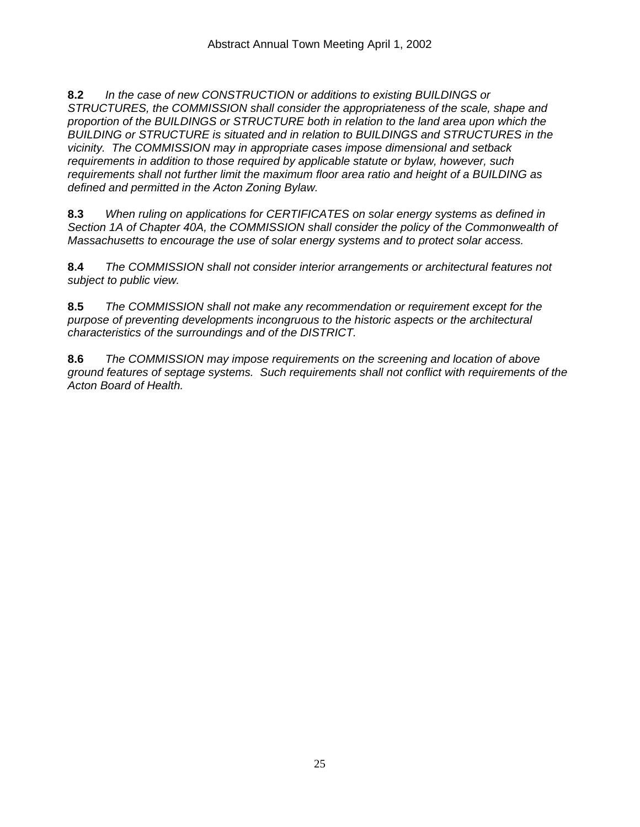**8.2** *In the case of new CONSTRUCTION or additions to existing BUILDINGS or STRUCTURES, the COMMISSION shall consider the appropriateness of the scale, shape and proportion of the BUILDINGS or STRUCTURE both in relation to the land area upon which the BUILDING or STRUCTURE is situated and in relation to BUILDINGS and STRUCTURES in the vicinity. The COMMISSION may in appropriate cases impose dimensional and setback requirements in addition to those required by applicable statute or bylaw, however, such requirements shall not further limit the maximum floor area ratio and height of a BUILDING as defined and permitted in the Acton Zoning Bylaw.* 

**8.3** *When ruling on applications for CERTIFICATES on solar energy systems as defined in Section 1A of Chapter 40A, the COMMISSION shall consider the policy of the Commonwealth of Massachusetts to encourage the use of solar energy systems and to protect solar access.* 

**8.4** *The COMMISSION shall not consider interior arrangements or architectural features not subject to public view.* 

**8.5** *The COMMISSION shall not make any recommendation or requirement except for the purpose of preventing developments incongruous to the historic aspects or the architectural characteristics of the surroundings and of the DISTRICT.* 

**8.6** *The COMMISSION may impose requirements on the screening and location of above ground features of septage systems. Such requirements shall not conflict with requirements of the Acton Board of Health.*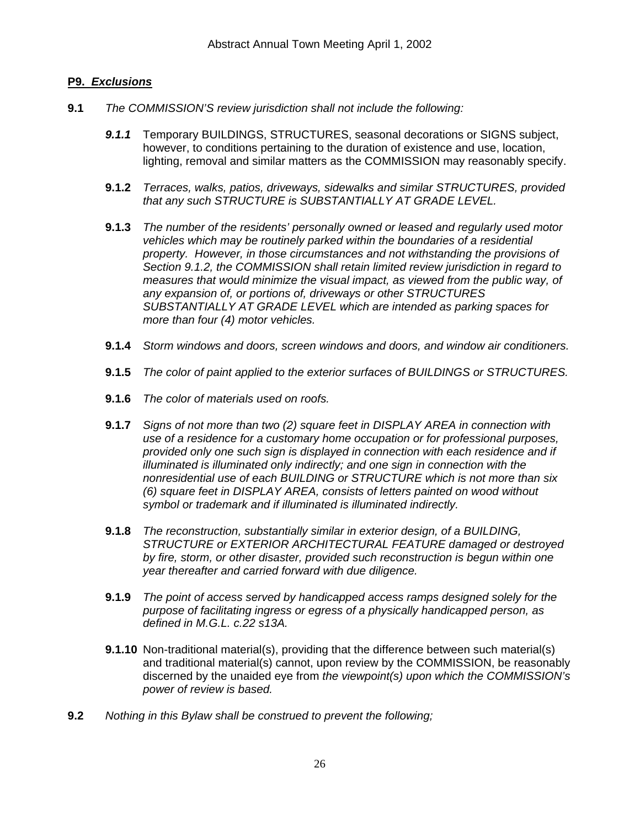# **P9.** *Exclusions*

- **9.1** *The COMMISSION'S review jurisdiction shall not include the following:*
	- *9.1.1* Temporary BUILDINGS, STRUCTURES, seasonal decorations or SIGNS subject, however, to conditions pertaining to the duration of existence and use, location, lighting, removal and similar matters as the COMMISSION may reasonably specify.
	- **9.1.2** *Terraces, walks, patios, driveways, sidewalks and similar STRUCTURES, provided that any such STRUCTURE is SUBSTANTIALLY AT GRADE LEVEL.*
	- **9.1.3** *The number of the residents' personally owned or leased and regularly used motor vehicles which may be routinely parked within the boundaries of a residential property. However, in those circumstances and not withstanding the provisions of Section 9.1.2, the COMMISSION shall retain limited review jurisdiction in regard to measures that would minimize the visual impact, as viewed from the public way, of any expansion of, or portions of, driveways or other STRUCTURES SUBSTANTIALLY AT GRADE LEVEL which are intended as parking spaces for more than four (4) motor vehicles.*
	- **9.1.4** *Storm windows and doors, screen windows and doors, and window air conditioners.*
	- **9.1.5** *The color of paint applied to the exterior surfaces of BUILDINGS or STRUCTURES.*
	- **9.1.6** *The color of materials used on roofs.*
	- **9.1.7** *Signs of not more than two (2) square feet in DISPLAY AREA in connection with use of a residence for a customary home occupation or for professional purposes, provided only one such sign is displayed in connection with each residence and if illuminated is illuminated only indirectly; and one sign in connection with the nonresidential use of each BUILDING or STRUCTURE which is not more than six (6) square feet in DISPLAY AREA, consists of letters painted on wood without symbol or trademark and if illuminated is illuminated indirectly.*
	- **9.1.8** *The reconstruction, substantially similar in exterior design, of a BUILDING, STRUCTURE or EXTERIOR ARCHITECTURAL FEATURE damaged or destroyed by fire, storm, or other disaster, provided such reconstruction is begun within one year thereafter and carried forward with due diligence.*
	- **9.1.9** *The point of access served by handicapped access ramps designed solely for the purpose of facilitating ingress or egress of a physically handicapped person, as defined in M.G.L. c.22 s13A.*
	- **9.1.10** Non-traditional material(s), providing that the difference between such material(s) and traditional material(s) cannot, upon review by the COMMISSION, be reasonably discerned by the unaided eye from *the viewpoint(s) upon which the COMMISSION's power of review is based.*
- **9.2** *Nothing in this Bylaw shall be construed to prevent the following;*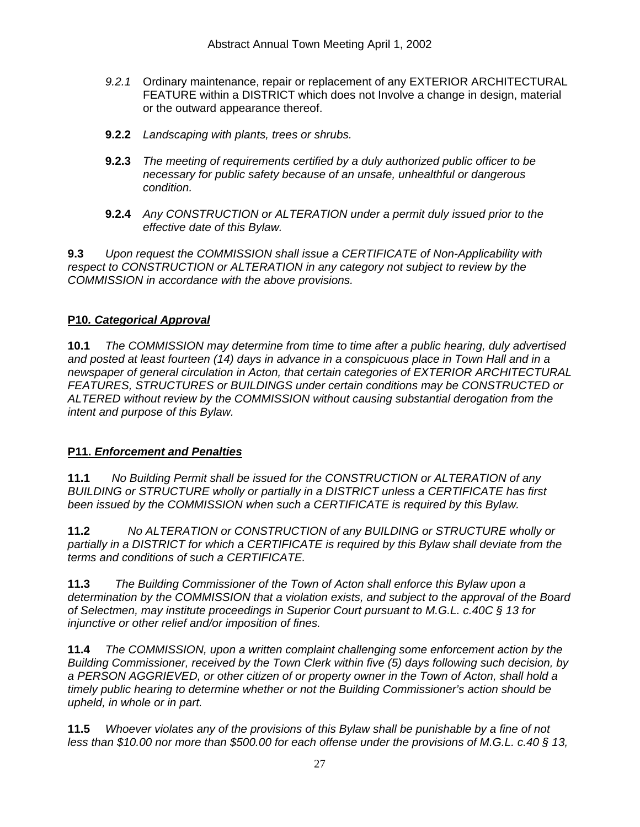- *9.2.1* Ordinary maintenance, repair or replacement of any EXTERIOR ARCHITECTURAL FEATURE within a DISTRICT which does not Involve a change in design, material or the outward appearance thereof.
- **9.2.2** *Landscaping with plants, trees or shrubs.*
- **9.2.3** *The meeting of requirements certified by a duly authorized public officer to be necessary for public safety because of an unsafe, unhealthful or dangerous condition.*
- **9.2.4** *Any CONSTRUCTION or ALTERATION under a permit duly issued prior to the effective date of this Bylaw.*

**9.3** *Upon request the COMMISSION shall issue a CERTIFICATE of Non-Applicability with respect to CONSTRUCTION or ALTERATION in any category not subject to review by the COMMISSION in accordance with the above provisions.* 

# **P10***. Categorical Approval*

**10.1** *The COMMISSION may determine from time to time after a public hearing, duly advertised and posted at least fourteen (14) days in advance in a conspicuous place in Town Hall and in a newspaper of general circulation in Acton, that certain categories of EXTERIOR ARCHITECTURAL FEATURES, STRUCTURES or BUILDINGS under certain conditions may be CONSTRUCTED or ALTERED without review by the COMMISSION without causing substantial derogation from the intent and purpose of this Bylaw.* 

# **P11.** *Enforcement and Penalties*

**11.1** *No Building Permit shall be issued for the CONSTRUCTION or ALTERATION of any BUILDING or STRUCTURE wholly or partially in a DISTRICT unless a CERTIFICATE has first been issued by the COMMISSION when such a CERTIFICATE is required by this Bylaw.* 

**11.2** *No ALTERATION or CONSTRUCTION of any BUILDING or STRUCTURE wholly or partially in a DISTRICT for which a CERTIFICATE is required by this Bylaw shall deviate from the terms and conditions of such a CERTIFICATE.* 

**11.3** *The Building Commissioner of the Town of Acton shall enforce this Bylaw upon a determination by the COMMISSION that a violation exists, and subject to the approval of the Board of Selectmen, may institute proceedings in Superior Court pursuant to M.G.L. c.40C § 13 for injunctive or other relief and/or imposition of fines.* 

**11.4** *The COMMISSION, upon a written complaint challenging some enforcement action by the Building Commissioner, received by the Town Clerk within five (5) days following such decision, by a PERSON AGGRIEVED, or other citizen of or property owner in the Town of Acton, shall hold a timely public hearing to determine whether or not the Building Commissioner's action should be upheld, in whole or in part.* 

**11.5** *Whoever violates any of the provisions of this Bylaw shall be punishable by a fine of not less than \$10.00 nor more than \$500.00 for each offense under the provisions of M.G.L. c.40 § 13,*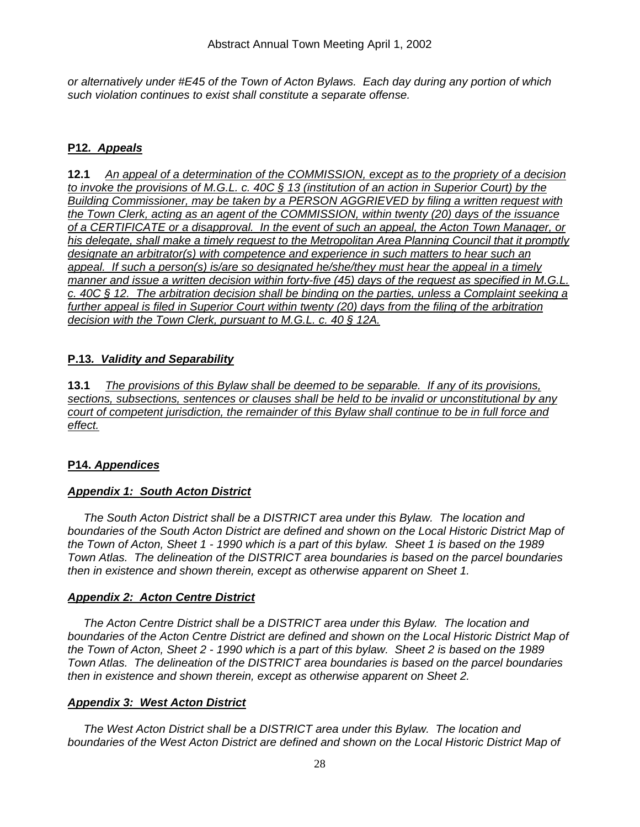*or alternatively under #E45 of the Town of Acton Bylaws. Each day during any portion of which such violation continues to exist shall constitute a separate offense.* 

# **P12***. Appeals*

**12.1** *An appeal of a determination of the COMMISSION, except as to the propriety of a decision to invoke the provisions of M.G.L. c. 40C § 13 (institution of an action in Superior Court) by the Building Commissioner, may be taken by a PERSON AGGRIEVED by filing a written request with the Town Clerk, acting as an agent of the COMMISSION, within twenty (20) days of the issuance of a CERTIFICATE or a disapproval. In the event of such an appeal, the Acton Town Manager, or his delegate, shall make a timely request to the Metropolitan Area Planning Council that it promptly designate an arbitrator(s) with competence and experience in such matters to hear such an appeal. If such a person(s) is/are so designated he/she/they must hear the appeal in a timely manner and issue a written decision within forty-five (45) days of the request as specified in M.G.L. c. 40C § 12. The arbitration decision shall be binding on the parties, unless a Complaint seeking a further appeal is filed in Superior Court within twenty (20) days from the filing of the arbitration decision with the Town Clerk, pursuant to M.G.L. c. 40 § 12A.*

# **P.13***. Validity and Separability*

**13.1** *The provisions of this Bylaw shall be deemed to be separable. If any of its provisions, sections, subsections, sentences or clauses shall be held to be invalid or unconstitutional by any court of competent jurisdiction, the remainder of this Bylaw shall continue to be in full force and effect.*

# **P14.** *Appendices*

# *Appendix 1: South Acton District*

 *The South Acton District shall be a DISTRICT area under this Bylaw. The location and*  boundaries of the South Acton District are defined and shown on the Local Historic District Map of *the Town of Acton, Sheet 1 - 1990 which is a part of this bylaw. Sheet 1 is based on the 1989 Town Atlas. The delineation of the DISTRICT area boundaries is based on the parcel boundaries then in existence and shown therein, except as otherwise apparent on Sheet 1.* 

# *Appendix 2: Acton Centre District*

 *The Acton Centre District shall be a DISTRICT area under this Bylaw. The location and*  boundaries of the Acton Centre District are defined and shown on the Local Historic District Map of *the Town of Acton, Sheet 2 - 1990 which is a part of this bylaw. Sheet 2 is based on the 1989 Town Atlas. The delineation of the DISTRICT area boundaries is based on the parcel boundaries then in existence and shown therein, except as otherwise apparent on Sheet 2.* 

# *Appendix 3: West Acton District*

 *The West Acton District shall be a DISTRICT area under this Bylaw. The location and boundaries of the West Acton District are defined and shown on the Local Historic District Map of*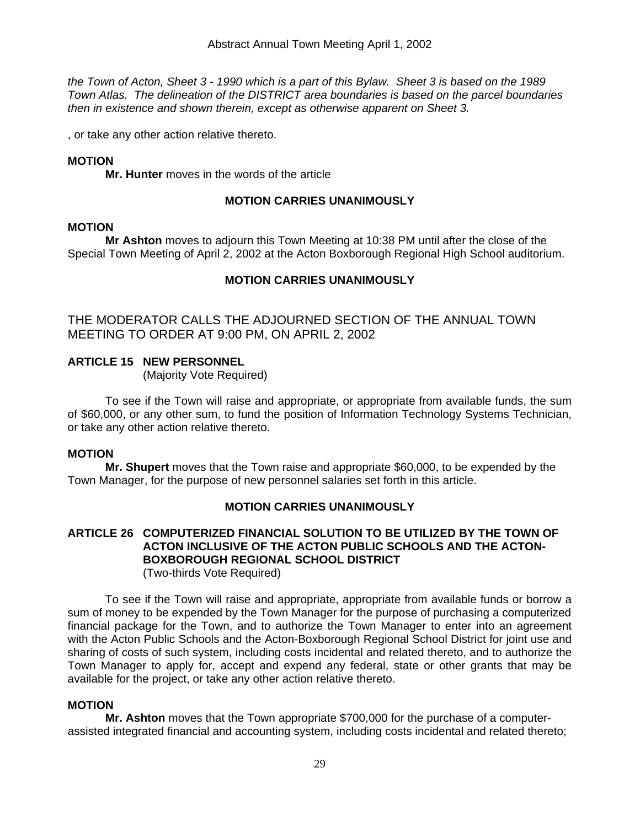*the Town of Acton, Sheet 3 - 1990 which is a part of this Bylaw. Sheet 3 is based on the 1989 Town Atlas. The delineation of the DISTRICT area boundaries is based on the parcel boundaries then in existence and shown therein, except as otherwise apparent on Sheet 3.* 

, or take any other action relative thereto.

# **MOTION**

**Mr. Hunter** moves in the words of the article

# **MOTION CARRIES UNANIMOUSLY**

### **MOTION**

 **Mr Ashton** moves to adjourn this Town Meeting at 10:38 PM until after the close of the Special Town Meeting of April 2, 2002 at the Acton Boxborough Regional High School auditorium.

# **MOTION CARRIES UNANIMOUSLY**

THE MODERATOR CALLS THE ADJOURNED SECTION OF THE ANNUAL TOWN MEETING TO ORDER AT 9:00 PM, ON APRIL 2, 2002

# **ARTICLE 15 NEW PERSONNEL**

(Majority Vote Required)

To see if the Town will raise and appropriate, or appropriate from available funds, the sum of \$60,000, or any other sum, to fund the position of Information Technology Systems Technician, or take any other action relative thereto.

# **MOTION**

**Mr. Shupert** moves that the Town raise and appropriate \$60,000, to be expended by the Town Manager, for the purpose of new personnel salaries set forth in this article.

# **MOTION CARRIES UNANIMOUSLY**

# **ARTICLE 26 COMPUTERIZED FINANCIAL SOLUTION TO BE UTILIZED BY THE TOWN OF ACTON INCLUSIVE OF THE ACTON PUBLIC SCHOOLS AND THE ACTON-BOXBOROUGH REGIONAL SCHOOL DISTRICT**

(Two-thirds Vote Required)

To see if the Town will raise and appropriate, appropriate from available funds or borrow a sum of money to be expended by the Town Manager for the purpose of purchasing a computerized financial package for the Town, and to authorize the Town Manager to enter into an agreement with the Acton Public Schools and the Acton-Boxborough Regional School District for joint use and sharing of costs of such system, including costs incidental and related thereto, and to authorize the Town Manager to apply for, accept and expend any federal, state or other grants that may be available for the project, or take any other action relative thereto.

### **MOTION**

**Mr. Ashton** moves that the Town appropriate \$700,000 for the purchase of a computerassisted integrated financial and accounting system, including costs incidental and related thereto;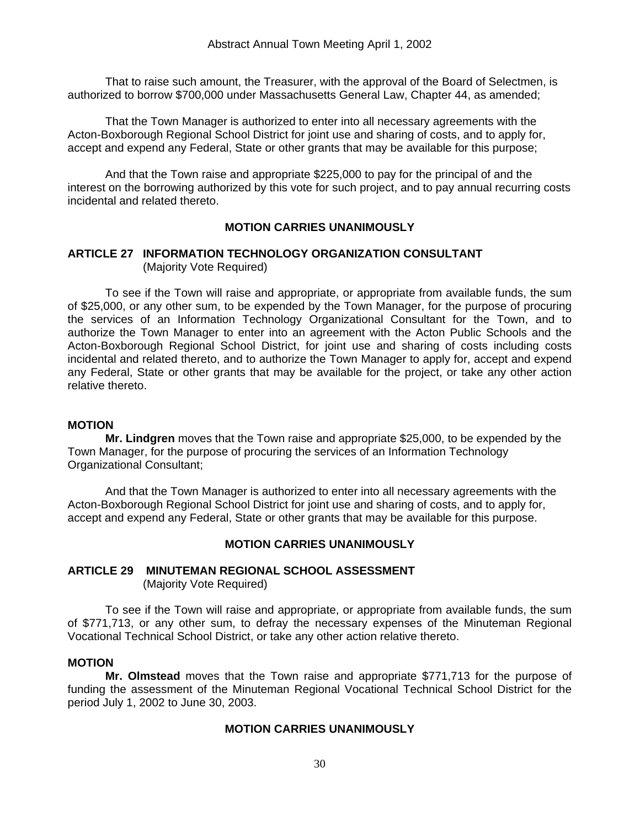That to raise such amount, the Treasurer, with the approval of the Board of Selectmen, is authorized to borrow \$700,000 under Massachusetts General Law, Chapter 44, as amended;

That the Town Manager is authorized to enter into all necessary agreements with the Acton-Boxborough Regional School District for joint use and sharing of costs, and to apply for, accept and expend any Federal, State or other grants that may be available for this purpose;

And that the Town raise and appropriate \$225,000 to pay for the principal of and the interest on the borrowing authorized by this vote for such project, and to pay annual recurring costs incidental and related thereto.

#### **MOTION CARRIES UNANIMOUSLY**

### **ARTICLE 27 INFORMATION TECHNOLOGY ORGANIZATION CONSULTANT** (Majority Vote Required)

 To see if the Town will raise and appropriate, or appropriate from available funds, the sum of \$25,000, or any other sum, to be expended by the Town Manager, for the purpose of procuring the services of an Information Technology Organizational Consultant for the Town, and to authorize the Town Manager to enter into an agreement with the Acton Public Schools and the Acton-Boxborough Regional School District, for joint use and sharing of costs including costs incidental and related thereto, and to authorize the Town Manager to apply for, accept and expend any Federal, State or other grants that may be available for the project, or take any other action relative thereto.

#### **MOTION**

**Mr. Lindgren** moves that the Town raise and appropriate \$25,000, to be expended by the Town Manager, for the purpose of procuring the services of an Information Technology Organizational Consultant;

And that the Town Manager is authorized to enter into all necessary agreements with the Acton-Boxborough Regional School District for joint use and sharing of costs, and to apply for, accept and expend any Federal, State or other grants that may be available for this purpose.

#### **MOTION CARRIES UNANIMOUSLY**

#### **ARTICLE 29 MINUTEMAN REGIONAL SCHOOL ASSESSMENT** (Majority Vote Required)

 To see if the Town will raise and appropriate, or appropriate from available funds, the sum of \$771,713, or any other sum, to defray the necessary expenses of the Minuteman Regional Vocational Technical School District, or take any other action relative thereto.

#### **MOTION**

**Mr. Olmstead** moves that the Town raise and appropriate \$771,713 for the purpose of funding the assessment of the Minuteman Regional Vocational Technical School District for the period July 1, 2002 to June 30, 2003.

### **MOTION CARRIES UNANIMOUSLY**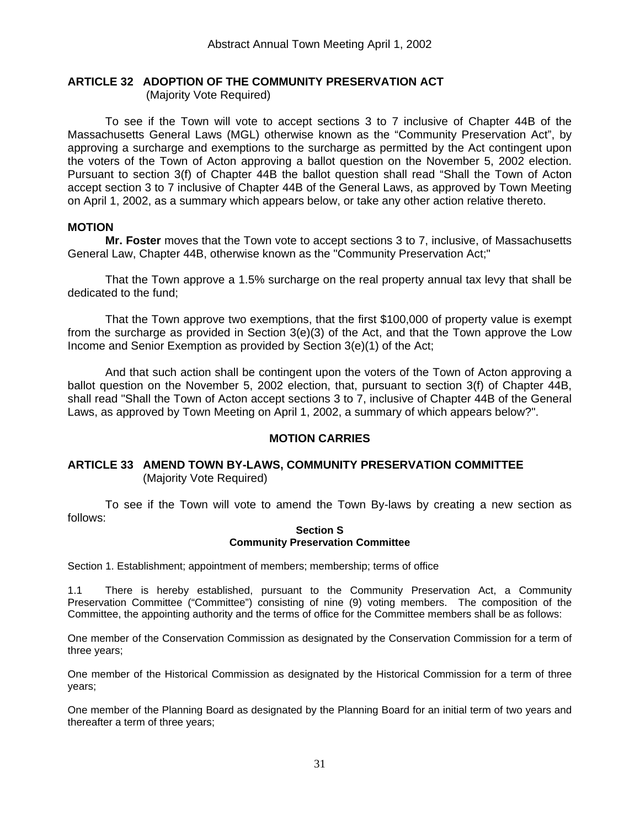# **ARTICLE 32 ADOPTION OF THE COMMUNITY PRESERVATION ACT**

(Majority Vote Required)

To see if the Town will vote to accept sections 3 to 7 inclusive of Chapter 44B of the Massachusetts General Laws (MGL) otherwise known as the "Community Preservation Act", by approving a surcharge and exemptions to the surcharge as permitted by the Act contingent upon the voters of the Town of Acton approving a ballot question on the November 5, 2002 election. Pursuant to section 3(f) of Chapter 44B the ballot question shall read "Shall the Town of Acton accept section 3 to 7 inclusive of Chapter 44B of the General Laws, as approved by Town Meeting on April 1, 2002, as a summary which appears below, or take any other action relative thereto.

### **MOTION**

**Mr. Foster** moves that the Town vote to accept sections 3 to 7, inclusive, of Massachusetts General Law, Chapter 44B, otherwise known as the "Community Preservation Act;"

That the Town approve a 1.5% surcharge on the real property annual tax levy that shall be dedicated to the fund;

That the Town approve two exemptions, that the first \$100,000 of property value is exempt from the surcharge as provided in Section 3(e)(3) of the Act, and that the Town approve the Low Income and Senior Exemption as provided by Section 3(e)(1) of the Act;

And that such action shall be contingent upon the voters of the Town of Acton approving a ballot question on the November 5, 2002 election, that, pursuant to section 3(f) of Chapter 44B, shall read "Shall the Town of Acton accept sections 3 to 7, inclusive of Chapter 44B of the General Laws, as approved by Town Meeting on April 1, 2002, a summary of which appears below?".

# **MOTION CARRIES**

# **ARTICLE 33 AMEND TOWN BY-LAWS, COMMUNITY PRESERVATION COMMITTEE** (Majority Vote Required)

To see if the Town will vote to amend the Town By-laws by creating a new section as follows:

#### **Section S Community Preservation Committee**

Section 1. Establishment; appointment of members; membership; terms of office

1.1 There is hereby established, pursuant to the Community Preservation Act, a Community Preservation Committee ("Committee") consisting of nine (9) voting members. The composition of the Committee, the appointing authority and the terms of office for the Committee members shall be as follows:

One member of the Conservation Commission as designated by the Conservation Commission for a term of three years;

One member of the Historical Commission as designated by the Historical Commission for a term of three years;

One member of the Planning Board as designated by the Planning Board for an initial term of two years and thereafter a term of three years;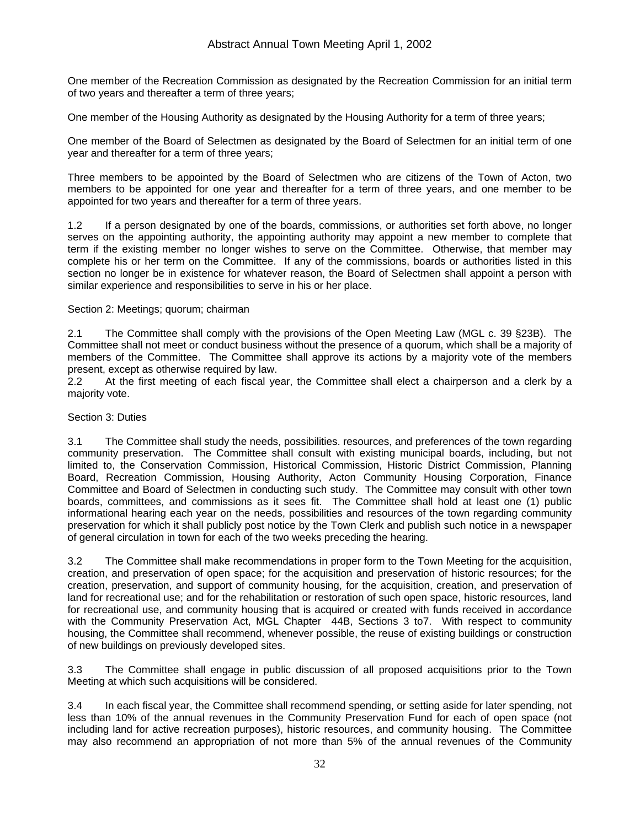One member of the Recreation Commission as designated by the Recreation Commission for an initial term of two years and thereafter a term of three years;

One member of the Housing Authority as designated by the Housing Authority for a term of three years;

One member of the Board of Selectmen as designated by the Board of Selectmen for an initial term of one year and thereafter for a term of three years;

Three members to be appointed by the Board of Selectmen who are citizens of the Town of Acton, two members to be appointed for one year and thereafter for a term of three years, and one member to be appointed for two years and thereafter for a term of three years.

1.2 If a person designated by one of the boards, commissions, or authorities set forth above, no longer serves on the appointing authority, the appointing authority may appoint a new member to complete that term if the existing member no longer wishes to serve on the Committee. Otherwise, that member may complete his or her term on the Committee. If any of the commissions, boards or authorities listed in this section no longer be in existence for whatever reason, the Board of Selectmen shall appoint a person with similar experience and responsibilities to serve in his or her place.

#### Section 2: Meetings; quorum; chairman

2.1 The Committee shall comply with the provisions of the Open Meeting Law (MGL c. 39 §23B). The Committee shall not meet or conduct business without the presence of a quorum, which shall be a majority of members of the Committee. The Committee shall approve its actions by a majority vote of the members present, except as otherwise required by law.

2.2 At the first meeting of each fiscal year, the Committee shall elect a chairperson and a clerk by a majority vote.

#### Section 3: Duties

3.1 The Committee shall study the needs, possibilities. resources, and preferences of the town regarding community preservation. The Committee shall consult with existing municipal boards, including, but not limited to, the Conservation Commission, Historical Commission, Historic District Commission, Planning Board, Recreation Commission, Housing Authority, Acton Community Housing Corporation, Finance Committee and Board of Selectmen in conducting such study. The Committee may consult with other town boards, committees, and commissions as it sees fit. The Committee shall hold at least one (1) public informational hearing each year on the needs, possibilities and resources of the town regarding community preservation for which it shall publicly post notice by the Town Clerk and publish such notice in a newspaper of general circulation in town for each of the two weeks preceding the hearing.

3.2 The Committee shall make recommendations in proper form to the Town Meeting for the acquisition, creation, and preservation of open space; for the acquisition and preservation of historic resources; for the creation, preservation, and support of community housing, for the acquisition, creation, and preservation of land for recreational use; and for the rehabilitation or restoration of such open space, historic resources, land for recreational use, and community housing that is acquired or created with funds received in accordance with the Community Preservation Act, MGL Chapter 44B, Sections 3 to7. With respect to community housing, the Committee shall recommend, whenever possible, the reuse of existing buildings or construction of new buildings on previously developed sites.

3.3 The Committee shall engage in public discussion of all proposed acquisitions prior to the Town Meeting at which such acquisitions will be considered.

3.4 In each fiscal year, the Committee shall recommend spending, or setting aside for later spending, not less than 10% of the annual revenues in the Community Preservation Fund for each of open space (not including land for active recreation purposes), historic resources, and community housing. The Committee may also recommend an appropriation of not more than 5% of the annual revenues of the Community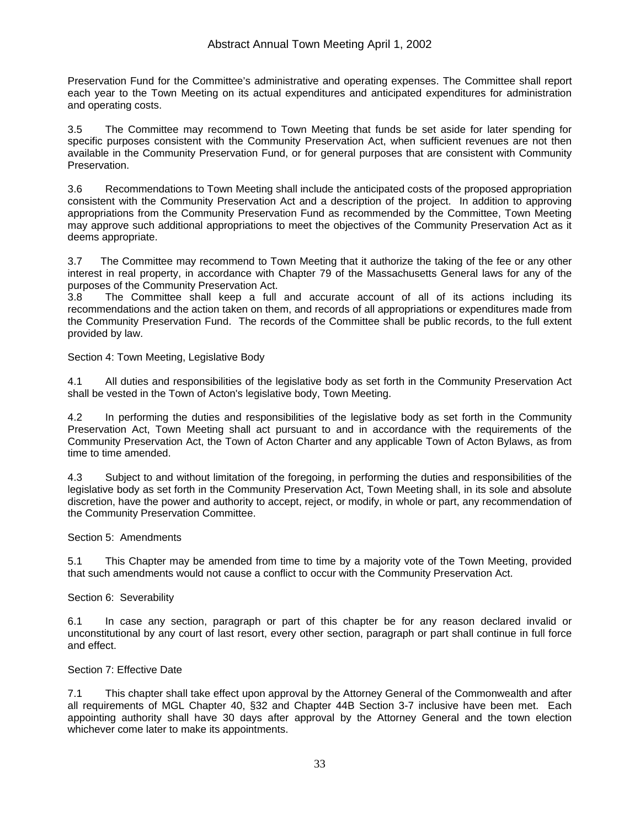Preservation Fund for the Committee's administrative and operating expenses. The Committee shall report each year to the Town Meeting on its actual expenditures and anticipated expenditures for administration and operating costs.

3.5 The Committee may recommend to Town Meeting that funds be set aside for later spending for specific purposes consistent with the Community Preservation Act, when sufficient revenues are not then available in the Community Preservation Fund, or for general purposes that are consistent with Community Preservation.

3.6 Recommendations to Town Meeting shall include the anticipated costs of the proposed appropriation consistent with the Community Preservation Act and a description of the project. In addition to approving appropriations from the Community Preservation Fund as recommended by the Committee, Town Meeting may approve such additional appropriations to meet the objectives of the Community Preservation Act as it deems appropriate.

3.7 The Committee may recommend to Town Meeting that it authorize the taking of the fee or any other interest in real property, in accordance with Chapter 79 of the Massachusetts General laws for any of the purposes of the Community Preservation Act.

3.8 The Committee shall keep a full and accurate account of all of its actions including its recommendations and the action taken on them, and records of all appropriations or expenditures made from the Community Preservation Fund. The records of the Committee shall be public records, to the full extent provided by law.

Section 4: Town Meeting, Legislative Body

4.1 All duties and responsibilities of the legislative body as set forth in the Community Preservation Act shall be vested in the Town of Acton's legislative body, Town Meeting.

4.2 In performing the duties and responsibilities of the legislative body as set forth in the Community Preservation Act, Town Meeting shall act pursuant to and in accordance with the requirements of the Community Preservation Act, the Town of Acton Charter and any applicable Town of Acton Bylaws, as from time to time amended.

4.3 Subject to and without limitation of the foregoing, in performing the duties and responsibilities of the legislative body as set forth in the Community Preservation Act, Town Meeting shall, in its sole and absolute discretion, have the power and authority to accept, reject, or modify, in whole or part, any recommendation of the Community Preservation Committee.

### Section 5: Amendments

5.1 This Chapter may be amended from time to time by a majority vote of the Town Meeting, provided that such amendments would not cause a conflict to occur with the Community Preservation Act.

Section 6: Severability

6.1 In case any section, paragraph or part of this chapter be for any reason declared invalid or unconstitutional by any court of last resort, every other section, paragraph or part shall continue in full force and effect.

#### Section 7: Effective Date

7.1 This chapter shall take effect upon approval by the Attorney General of the Commonwealth and after all requirements of MGL Chapter 40, §32 and Chapter 44B Section 3-7 inclusive have been met. Each appointing authority shall have 30 days after approval by the Attorney General and the town election whichever come later to make its appointments.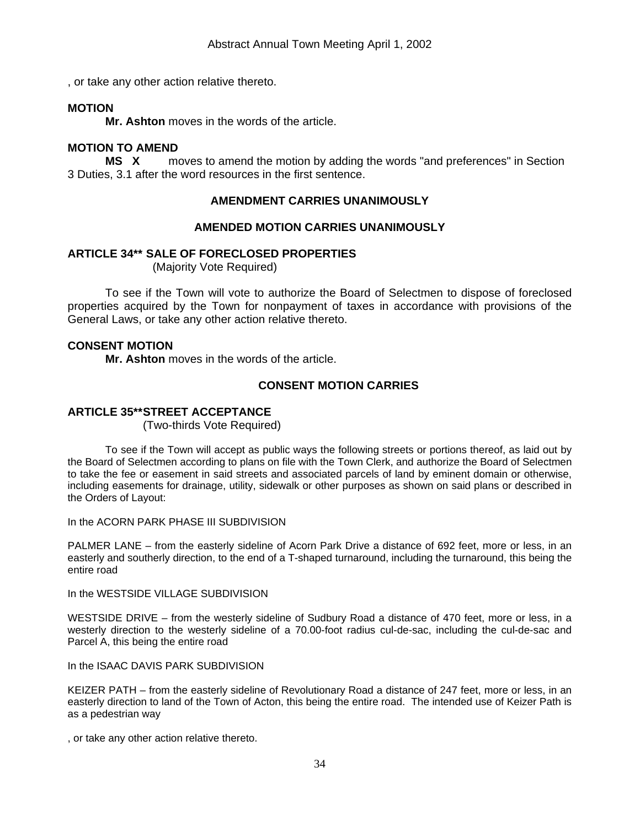, or take any other action relative thereto.

# **MOTION**

**Mr. Ashton** moves in the words of the article.

### **MOTION TO AMEND**

 **MS X** moves to amend the motion by adding the words "and preferences" in Section 3 Duties, 3.1 after the word resources in the first sentence.

# **AMENDMENT CARRIES UNANIMOUSLY**

### **AMENDED MOTION CARRIES UNANIMOUSLY**

### **ARTICLE 34\*\* SALE OF FORECLOSED PROPERTIES**

(Majority Vote Required)

To see if the Town will vote to authorize the Board of Selectmen to dispose of foreclosed properties acquired by the Town for nonpayment of taxes in accordance with provisions of the General Laws, or take any other action relative thereto.

### **CONSENT MOTION**

**Mr. Ashton** moves in the words of the article.

# **CONSENT MOTION CARRIES**

### **ARTICLE 35\*\* STREET ACCEPTANCE**

(Two-thirds Vote Required)

 To see if the Town will accept as public ways the following streets or portions thereof, as laid out by the Board of Selectmen according to plans on file with the Town Clerk, and authorize the Board of Selectmen to take the fee or easement in said streets and associated parcels of land by eminent domain or otherwise, including easements for drainage, utility, sidewalk or other purposes as shown on said plans or described in the Orders of Layout:

In the ACORN PARK PHASE III SUBDIVISION

PALMER LANE – from the easterly sideline of Acorn Park Drive a distance of 692 feet, more or less, in an easterly and southerly direction, to the end of a T-shaped turnaround, including the turnaround, this being the entire road

In the WESTSIDE VILLAGE SUBDIVISION

WESTSIDE DRIVE – from the westerly sideline of Sudbury Road a distance of 470 feet, more or less, in a westerly direction to the westerly sideline of a 70.00-foot radius cul-de-sac, including the cul-de-sac and Parcel A, this being the entire road

In the ISAAC DAVIS PARK SUBDIVISION

KEIZER PATH – from the easterly sideline of Revolutionary Road a distance of 247 feet, more or less, in an easterly direction to land of the Town of Acton, this being the entire road. The intended use of Keizer Path is as a pedestrian way

, or take any other action relative thereto.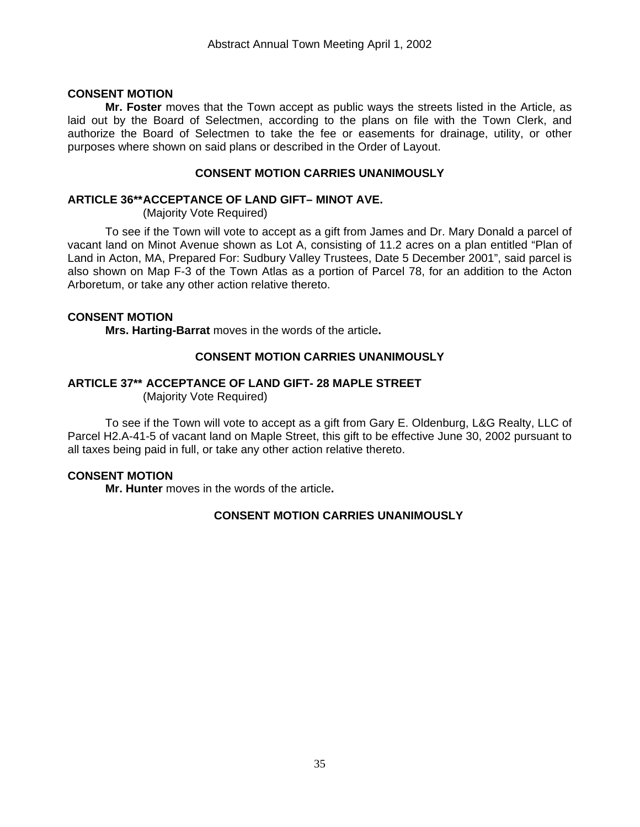# **CONSENT MOTION**

**Mr. Foster** moves that the Town accept as public ways the streets listed in the Article, as laid out by the Board of Selectmen, according to the plans on file with the Town Clerk, and authorize the Board of Selectmen to take the fee or easements for drainage, utility, or other purposes where shown on said plans or described in the Order of Layout.

### **CONSENT MOTION CARRIES UNANIMOUSLY**

### **ARTICLE 36\*\* ACCEPTANCE OF LAND GIFT– MINOT AVE.**

(Majority Vote Required)

 To see if the Town will vote to accept as a gift from James and Dr. Mary Donald a parcel of vacant land on Minot Avenue shown as Lot A, consisting of 11.2 acres on a plan entitled "Plan of Land in Acton, MA, Prepared For: Sudbury Valley Trustees, Date 5 December 2001", said parcel is also shown on Map F-3 of the Town Atlas as a portion of Parcel 78, for an addition to the Acton Arboretum, or take any other action relative thereto.

### **CONSENT MOTION**

**Mrs. Harting-Barrat** moves in the words of the article**.**

### **CONSENT MOTION CARRIES UNANIMOUSLY**

### **ARTICLE 37\*\* ACCEPTANCE OF LAND GIFT- 28 MAPLE STREET**

(Majority Vote Required)

To see if the Town will vote to accept as a gift from Gary E. Oldenburg, L&G Realty, LLC of Parcel H2.A-41-5 of vacant land on Maple Street, this gift to be effective June 30, 2002 pursuant to all taxes being paid in full, or take any other action relative thereto.

### **CONSENT MOTION**

**Mr. Hunter** moves in the words of the article**.** 

# **CONSENT MOTION CARRIES UNANIMOUSLY**